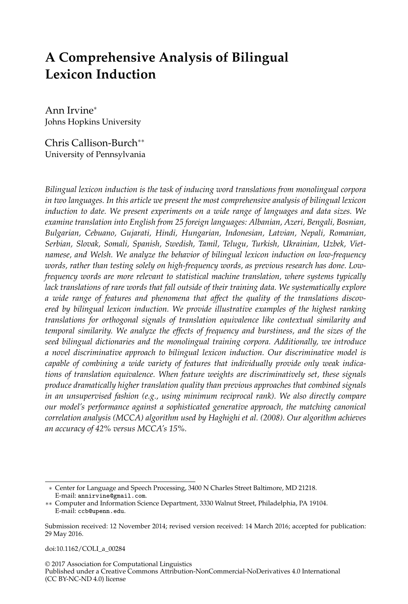# **A Comprehensive Analysis of Bilingual Lexicon Induction**

Ann Irvine<sup>∗</sup> Johns Hopkins University

Chris Callison-Burch∗∗ University of Pennsylvania

*Bilingual lexicon induction is the task of inducing word translations from monolingual corpora in two languages. In this article we present the most comprehensive analysis of bilingual lexicon induction to date. We present experiments on a wide range of languages and data sizes. We examine translation into English from 25 foreign languages: Albanian, Azeri, Bengali, Bosnian, Bulgarian, Cebuano, Gujarati, Hindi, Hungarian, Indonesian, Latvian, Nepali, Romanian, Serbian, Slovak, Somali, Spanish, Swedish, Tamil, Telugu, Turkish, Ukrainian, Uzbek, Vietnamese, and Welsh. We analyze the behavior of bilingual lexicon induction on low-frequency words, rather than testing solely on high-frequency words, as previous research has done. Lowfrequency words are more relevant to statistical machine translation, where systems typically lack translations of rare words that fall outside of their training data. We systematically explore a wide range of features and phenomena that affect the quality of the translations discovered by bilingual lexicon induction. We provide illustrative examples of the highest ranking translations for orthogonal signals of translation equivalence like contextual similarity and temporal similarity. We analyze the effects of frequency and burstiness, and the sizes of the seed bilingual dictionaries and the monolingual training corpora. Additionally, we introduce a novel discriminative approach to bilingual lexicon induction. Our discriminative model is capable of combining a wide variety of features that individually provide only weak indications of translation equivalence. When feature weights are discriminatively set, these signals produce dramatically higher translation quality than previous approaches that combined signals in an unsupervised fashion (e.g., using minimum reciprocal rank). We also directly compare our model's performance against a sophisticated generative approach, the matching canonical correlation analysis (MCCA) algorithm used by Haghighi et al. (2008). Our algorithm achieves an accuracy of 42% versus MCCA's 15%.*

doi:10.1162/COLI\_a\_00284

© 2017 Association for Computational Linguistics

Published under a Creative Commons Attribution-NonCommercial-NoDerivatives 4.0 International (CC BY-NC-ND 4.0) license

<sup>∗</sup> Center for Language and Speech Processing, 3400 N Charles Street Baltimore, MD 21218. E-mail: annirvine@gmail.com.

<sup>∗∗</sup> Computer and Information Science Department, 3330 Walnut Street, Philadelphia, PA 19104. E-mail: ccb@upenn.edu.

Submission received: 12 November 2014; revised version received: 14 March 2016; accepted for publication: 29 May 2016.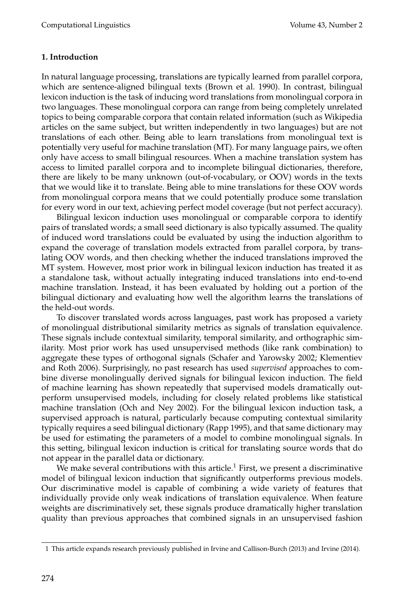# **1. Introduction**

In natural language processing, translations are typically learned from parallel corpora, which are sentence-aligned bilingual texts (Brown et al. 1990). In contrast, bilingual lexicon induction is the task of inducing word translations from monolingual corpora in two languages. These monolingual corpora can range from being completely unrelated topics to being comparable corpora that contain related information (such as Wikipedia articles on the same subject, but written independently in two languages) but are not translations of each other. Being able to learn translations from monolingual text is potentially very useful for machine translation (MT). For many language pairs, we often only have access to small bilingual resources. When a machine translation system has access to limited parallel corpora and to incomplete bilingual dictionaries, therefore, there are likely to be many unknown (out-of-vocabulary, or OOV) words in the texts that we would like it to translate. Being able to mine translations for these OOV words from monolingual corpora means that we could potentially produce some translation for every word in our text, achieving perfect model coverage (but not perfect accuracy).

Bilingual lexicon induction uses monolingual or comparable corpora to identify pairs of translated words; a small seed dictionary is also typically assumed. The quality of induced word translations could be evaluated by using the induction algorithm to expand the coverage of translation models extracted from parallel corpora, by translating OOV words, and then checking whether the induced translations improved the MT system. However, most prior work in bilingual lexicon induction has treated it as a standalone task, without actually integrating induced translations into end-to-end machine translation. Instead, it has been evaluated by holding out a portion of the bilingual dictionary and evaluating how well the algorithm learns the translations of the held-out words.

To discover translated words across languages, past work has proposed a variety of monolingual distributional similarity metrics as signals of translation equivalence. These signals include contextual similarity, temporal similarity, and orthographic similarity. Most prior work has used unsupervised methods (like rank combination) to aggregate these types of orthogonal signals (Schafer and Yarowsky 2002; Klementiev and Roth 2006). Surprisingly, no past research has used *supervised* approaches to combine diverse monolingually derived signals for bilingual lexicon induction. The field of machine learning has shown repeatedly that supervised models dramatically outperform unsupervised models, including for closely related problems like statistical machine translation (Och and Ney 2002). For the bilingual lexicon induction task, a supervised approach is natural, particularly because computing contextual similarity typically requires a seed bilingual dictionary (Rapp 1995), and that same dictionary may be used for estimating the parameters of a model to combine monolingual signals. In this setting, bilingual lexicon induction is critical for translating source words that do not appear in the parallel data or dictionary.

We make several contributions with this article.<sup>1</sup> First, we present a discriminative model of bilingual lexicon induction that significantly outperforms previous models. Our discriminative model is capable of combining a wide variety of features that individually provide only weak indications of translation equivalence. When feature weights are discriminatively set, these signals produce dramatically higher translation quality than previous approaches that combined signals in an unsupervised fashion

<sup>1</sup> This article expands research previously published in Irvine and Callison-Burch (2013) and Irvine (2014).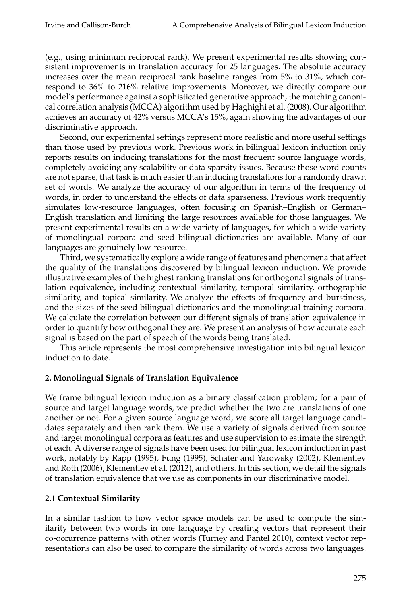(e.g., using minimum reciprocal rank). We present experimental results showing consistent improvements in translation accuracy for 25 languages. The absolute accuracy increases over the mean reciprocal rank baseline ranges from 5% to 31%, which correspond to 36% to 216% relative improvements. Moreover, we directly compare our model's performance against a sophisticated generative approach, the matching canonical correlation analysis (MCCA) algorithm used by Haghighi et al. (2008). Our algorithm achieves an accuracy of 42% versus MCCA's 15%, again showing the advantages of our discriminative approach.

Second, our experimental settings represent more realistic and more useful settings than those used by previous work. Previous work in bilingual lexicon induction only reports results on inducing translations for the most frequent source language words, completely avoiding any scalability or data sparsity issues. Because those word counts are not sparse, that task is much easier than inducing translations for a randomly drawn set of words. We analyze the accuracy of our algorithm in terms of the frequency of words, in order to understand the effects of data sparseness. Previous work frequently simulates low-resource languages, often focusing on Spanish–English or German– English translation and limiting the large resources available for those languages. We present experimental results on a wide variety of languages, for which a wide variety of monolingual corpora and seed bilingual dictionaries are available. Many of our languages are genuinely low-resource.

Third, we systematically explore a wide range of features and phenomena that affect the quality of the translations discovered by bilingual lexicon induction. We provide illustrative examples of the highest ranking translations for orthogonal signals of translation equivalence, including contextual similarity, temporal similarity, orthographic similarity, and topical similarity. We analyze the effects of frequency and burstiness, and the sizes of the seed bilingual dictionaries and the monolingual training corpora. We calculate the correlation between our different signals of translation equivalence in order to quantify how orthogonal they are. We present an analysis of how accurate each signal is based on the part of speech of the words being translated.

This article represents the most comprehensive investigation into bilingual lexicon induction to date.

# **2. Monolingual Signals of Translation Equivalence**

We frame bilingual lexicon induction as a binary classification problem; for a pair of source and target language words, we predict whether the two are translations of one another or not. For a given source language word, we score all target language candidates separately and then rank them. We use a variety of signals derived from source and target monolingual corpora as features and use supervision to estimate the strength of each. A diverse range of signals have been used for bilingual lexicon induction in past work, notably by Rapp (1995), Fung (1995), Schafer and Yarowsky (2002), Klementiev and Roth (2006), Klementiev et al. (2012), and others. In this section, we detail the signals of translation equivalence that we use as components in our discriminative model.

# **2.1 Contextual Similarity**

In a similar fashion to how vector space models can be used to compute the similarity between two words in one language by creating vectors that represent their co-occurrence patterns with other words (Turney and Pantel 2010), context vector representations can also be used to compare the similarity of words across two languages.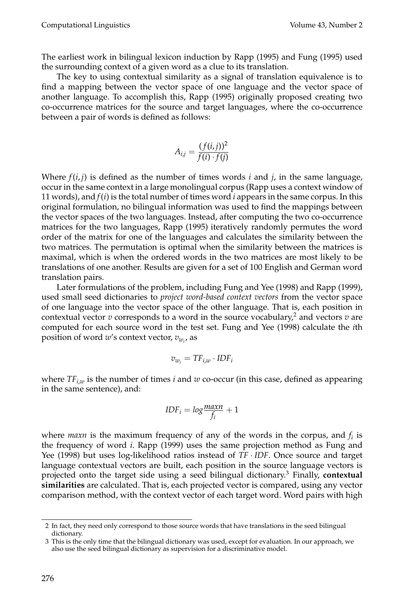The earliest work in bilingual lexicon induction by Rapp (1995) and Fung (1995) used the surrounding context of a given word as a clue to its translation.

The key to using contextual similarity as a signal of translation equivalence is to find a mapping between the vector space of one language and the vector space of another language. To accomplish this, Rapp (1995) originally proposed creating two co-occurrence matrices for the source and target languages, where the co-occurrence between a pair of words is defined as follows:

$$
A_{i,j} = \frac{(f(i,j))^2}{f(i) \cdot f(j)}
$$

Where  $f(i, j)$  is defined as the number of times words *i* and *j*, in the same language, occur in the same context in a large monolingual corpus (Rapp uses a context window of 11 words), and *f*(*i*) is the total number of times word *i* appears in the same corpus. In this original formulation, no bilingual information was used to find the mappings between the vector spaces of the two languages. Instead, after computing the two co-occurrence matrices for the two languages, Rapp (1995) iteratively randomly permutes the word order of the matrix for one of the languages and calculates the similarity between the two matrices. The permutation is optimal when the similarity between the matrices is maximal, which is when the ordered words in the two matrices are most likely to be translations of one another. Results are given for a set of 100 English and German word translation pairs.

Later formulations of the problem, including Fung and Yee (1998) and Rapp (1999), used small seed dictionaries to *project word-based context vectors* from the vector space of one language into the vector space of the other language. That is, each position in contextual vector  $v$  corresponds to a word in the source vocabulary,<sup>2</sup> and vectors  $v$  are computed for each source word in the test set. Fung and Yee (1998) calculate the *i*th position of word *w*'s context vector, *vw<sup>i</sup>* , as

$$
v_{w_i} = TF_{i,w} \cdot IDF_i
$$

where  $TF_{i,w}$  is the number of times *i* and *w* co-occur (in this case, defined as appearing in the same sentence), and:

$$
IDF_i = log \frac{maxn}{f_i} + 1
$$

where *maxn* is the maximum frequency of any of the words in the corpus, and *f<sup>i</sup>* is the frequency of word *i*. Rapp (1999) uses the same projection method as Fung and Yee (1998) but uses log-likelihood ratios instead of *TF* · *IDF*. Once source and target language contextual vectors are built, each position in the source language vectors is projected onto the target side using a seed bilingual dictionary.<sup>3</sup> Finally, **contextual similarities** are calculated. That is, each projected vector is compared, using any vector comparison method, with the context vector of each target word. Word pairs with high

<sup>2</sup> In fact, they need only correspond to those source words that have translations in the seed bilingual dictionary.

<sup>3</sup> This is the only time that the bilingual dictionary was used, except for evaluation. In our approach, we also use the seed bilingual dictionary as supervision for a discriminative model.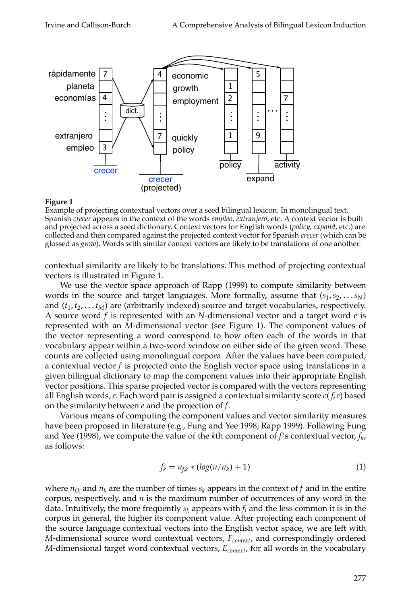

#### **Figure 1**

Example of projecting contextual vectors over a seed bilingual lexicon. In monolingual text, Spanish *crecer* appears in the context of the words *empleo, extranjero*, etc. A context vector is built and projected across a seed dictionary. Context vectors for English words (*policy, expand*, etc.) are collected and then compared against the projected context vector for Spanish *crecer* (which can be glossed as *grow*). Words with similar context vectors are likely to be translations of one another.

contextual similarity are likely to be translations. This method of projecting contextual vectors is illustrated in Figure 1.

We use the vector space approach of Rapp (1999) to compute similarity between words in the source and target languages. More formally, assume that  $(s_1, s_2, \ldots s_N)$ and  $(t_1, t_2, \ldots, t_M)$  are (arbitrarily indexed) source and target vocabularies, respectively. A source word *f* is represented with an *N*-dimensional vector and a target word *e* is represented with an *M*-dimensional vector (see Figure 1). The component values of the vector representing a word correspond to how often each of the words in that vocabulary appear within a two-word window on either side of the given word. These counts are collected using monolingual corpora. After the values have been computed, a contextual vector *f* is projected onto the English vector space using translations in a given bilingual dictionary to map the component values into their appropriate English vector positions. This sparse projected vector is compared with the vectors representing all English words, *e*. Each word pair is assigned a contextual similarity score *c*( *f*,*e*) based on the similarity between *e* and the projection of *f*.

Various means of computing the component values and vector similarity measures have been proposed in literature (e.g., Fung and Yee 1998; Rapp 1999). Following Fung and Yee (1998), we compute the value of the *k*th component of *f*'s contextual vector, *f<sup>k</sup>* , as follows:

$$
f_k = n_{f,k} * (log(n/n_k) + 1)
$$
\n(1)

where  $n_{fk}$  and  $n_k$  are the number of times  $s_k$  appears in the context of f and in the entire corpus, respectively, and *n* is the maximum number of occurrences of any word in the data. Intuitively, the more frequently  $s_k$  appears with  $f_i$  and the less common it is in the corpus in general, the higher its component value. After projecting each component of the source language contextual vectors into the English vector space, we are left with *M*-dimensional source word contextual vectors, *Fcontext*, and correspondingly ordered *M*-dimensional target word contextual vectors, *Econtext*, for all words in the vocabulary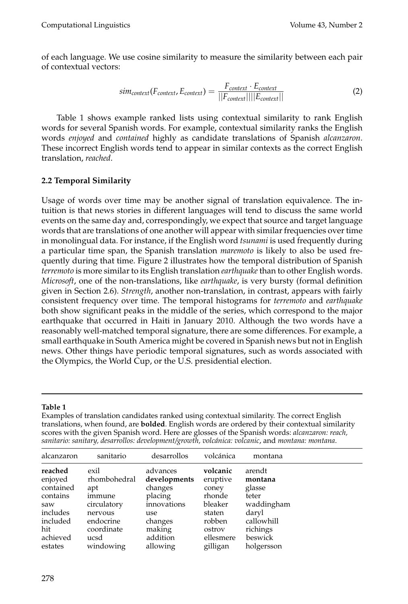of each language. We use cosine similarity to measure the similarity between each pair of contextual vectors:

$$
sim_{context}(F_{context}, E_{context}) = \frac{F_{context} \cdot E_{context}}{||F_{context}|| ||E_{context}||}
$$
 (2)

Table 1 shows example ranked lists using contextual similarity to rank English words for several Spanish words. For example, contextual similarity ranks the English words *enjoyed* and *contained* highly as candidate translations of Spanish *alcanzaron*. These incorrect English words tend to appear in similar contexts as the correct English translation, *reached*.

# **2.2 Temporal Similarity**

Usage of words over time may be another signal of translation equivalence. The intuition is that news stories in different languages will tend to discuss the same world events on the same day and, correspondingly, we expect that source and target language words that are translations of one another will appear with similar frequencies over time in monolingual data. For instance, if the English word *tsunami* is used frequently during a particular time span, the Spanish translation *maremoto* is likely to also be used frequently during that time. Figure 2 illustrates how the temporal distribution of Spanish *terremoto* is more similar to its English translation *earthquake*than to other English words. *Microsoft*, one of the non-translations, like *earthquake*, is very bursty (formal definition given in Section 2.6). *Strength*, another non-translation, in contrast, appears with fairly consistent frequency over time. The temporal histograms for *terremoto* and *earthquake* both show significant peaks in the middle of the series, which correspond to the major earthquake that occurred in Haiti in January 2010. Although the two words have a reasonably well-matched temporal signature, there are some differences. For example, a small earthquake in South America might be covered in Spanish news but not in English news. Other things have periodic temporal signatures, such as words associated with the Olympics, the World Cup, or the U.S. presidential election.

# **Table 1**

Examples of translation candidates ranked using contextual similarity. The correct English translations, when found, are **bolded**. English words are ordered by their contextual similarity scores with the given Spanish word. Here are glosses of the Spanish words: *alcanzaron: reach, sanitario: sanitary, desarrollos: development/growth, volcánica: volcanic*, and *montana: montana*.

| alcanzaron | sanitario    | desarrollos  | volcánica | montana    |
|------------|--------------|--------------|-----------|------------|
| reached    | exil         | advances     | volcanic  | arendt     |
| enjoyed    | rhombohedral | developments | eruptive  | montana    |
| contained  | apt          | changes      | coney     | glasse     |
| contains   | immune       | placing      | rhonde    | teter      |
| saw        | circulatory  | innovations  | bleaker   | waddingham |
| includes   | nervous      | use          | staten    | daryl      |
| included   | endocrine    | changes      | robben    | callowhill |
| hit        | coordinate   | making       | ostrov    | richings   |
| achieved   | ucsd         | addition     | ellesmere | beswick    |
| estates    | windowing    | allowing     | gilligan  | holgersson |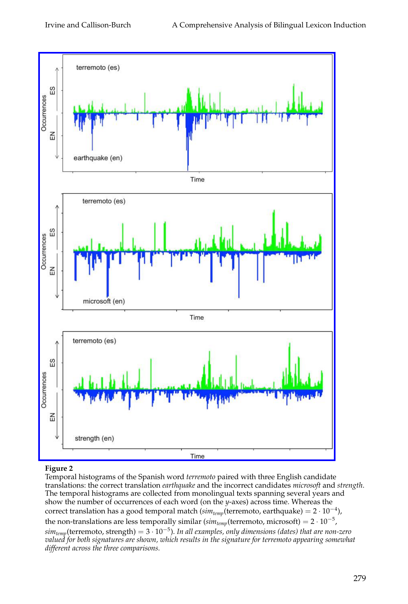

#### **Figure 2**

Temporal histograms of the Spanish word *terremoto* paired with three English candidate translations: the correct translation *earthquake* and the incorrect candidates *microsoft* and *strength*. The temporal histograms are collected from monolingual texts spanning several years and show the number of occurrences of each word (on the *y*-axes) across time. Whereas the correct translation has a good temporal match ( $sim_{temp}$ (terremoto, earthquake) =  $2\cdot 10^{-4}$ ), the non-translations are less temporally similar ( $\textit{sim}_{\textit{temp}}$ (terremoto, microsoft) =  $2 \cdot 10^{-5}$ , *simtemp*(terremoto, strength) = 3 · 10−<sup>5</sup> ). *In all examples, only dimensions (dates) that are non-zero valued for both signatures are shown, which results in the signature for terremoto appearing somewhat different across the three comparisons.*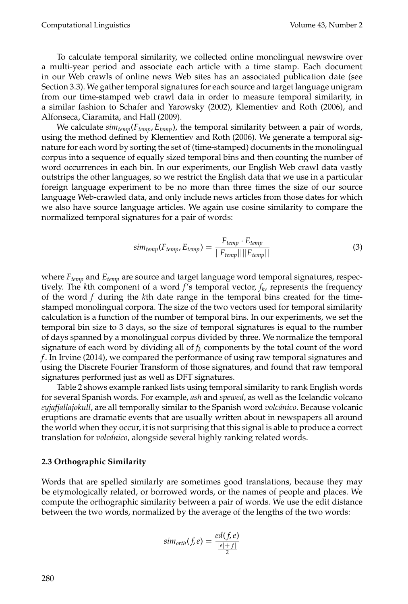Computational Linguistics Volume 43, Number 2

To calculate temporal similarity, we collected online monolingual newswire over a multi-year period and associate each article with a time stamp. Each document in our Web crawls of online news Web sites has an associated publication date (see Section 3.3). We gather temporal signatures for each source and target language unigram from our time-stamped web crawl data in order to measure temporal similarity, in a similar fashion to Schafer and Yarowsky (2002), Klementiev and Roth (2006), and Alfonseca, Ciaramita, and Hall (2009).

We calculate *simtemp*(*Ftemp*, *Etemp*), the temporal similarity between a pair of words, using the method defined by Klementiev and Roth (2006). We generate a temporal signature for each word by sorting the set of (time-stamped) documents in the monolingual corpus into a sequence of equally sized temporal bins and then counting the number of word occurrences in each bin. In our experiments, our English Web crawl data vastly outstrips the other languages, so we restrict the English data that we use in a particular foreign language experiment to be no more than three times the size of our source language Web-crawled data, and only include news articles from those dates for which we also have source language articles. We again use cosine similarity to compare the normalized temporal signatures for a pair of words:

$$
sim_{temp}(F_{temp}, E_{temp}) = \frac{F_{temp} \cdot E_{temp}}{||F_{temp}|| ||E_{temp}||}
$$
\n(3)

where *Ftemp* and *Etemp* are source and target language word temporal signatures, respectively. The *k*th component of a word *f*'s temporal vector, *f<sup>k</sup>* , represents the frequency of the word *f* during the *k*th date range in the temporal bins created for the timestamped monolingual corpora. The size of the two vectors used for temporal similarity calculation is a function of the number of temporal bins. In our experiments, we set the temporal bin size to 3 days, so the size of temporal signatures is equal to the number of days spanned by a monolingual corpus divided by three. We normalize the temporal signature of each word by dividing all of  $f_k$  components by the total count of the word *f*. In Irvine (2014), we compared the performance of using raw temporal signatures and using the Discrete Fourier Transform of those signatures, and found that raw temporal signatures performed just as well as DFT signatures.

Table 2 shows example ranked lists using temporal similarity to rank English words for several Spanish words. For example, *ash* and *spewed*, as well as the Icelandic volcano *eyjafjallajokull*, are all temporally similar to the Spanish word *volcánico*. Because volcanic eruptions are dramatic events that are usually written about in newspapers all around the world when they occur, it is not surprising that this signal is able to produce a correct translation for *volcánico*, alongside several highly ranking related words.

#### **2.3 Orthographic Similarity**

Words that are spelled similarly are sometimes good translations, because they may be etymologically related, or borrowed words, or the names of people and places. We compute the orthographic similarity between a pair of words. We use the edit distance between the two words, normalized by the average of the lengths of the two words:

$$
sim_{orth}(f,e) = \frac{ed(f,e)}{\frac{|e|+|f|}{2}}
$$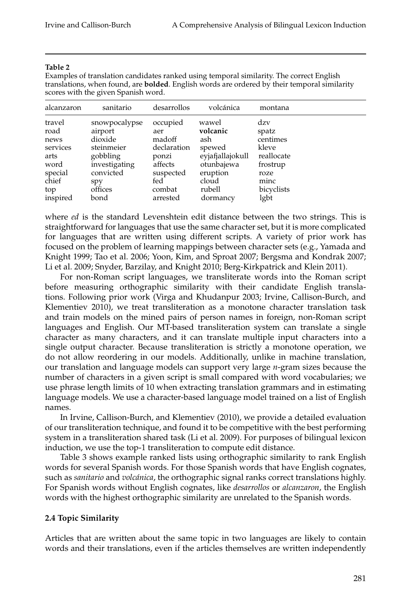Examples of translation candidates ranked using temporal similarity. The correct English translations, when found, are **bolded**. English words are ordered by their temporal similarity scores with the given Spanish word.

| alcanzaron | sanitario     | desarrollos | volcánica        | montana     |
|------------|---------------|-------------|------------------|-------------|
| travel     | snowpocalypse | occupied    | wawel            | $\rm{d}$ zv |
| road       | airport       | aer         | volcanic         | spatz       |
| news       | dioxide       | madoff      | ash              | centimes    |
| services   | steinmeier    | declaration | spewed           | kleve       |
| arts       | gobbling      | ponzi       | eyjafjallajokull | reallocate  |
| word       | investigating | affects     | otunbajewa       | frostrup    |
| special    | convicted     | suspected   | eruption         | roze        |
| chief      | spy           | fed         | cloud            | minc        |
| top        | offices       | combat      | rubell           | bicyclists  |
| inspired   | bond          | arrested    | dormancy         | lgbt        |

where *ed* is the standard Levenshtein edit distance between the two strings. This is straightforward for languages that use the same character set, but it is more complicated for languages that are written using different scripts. A variety of prior work has focused on the problem of learning mappings between character sets (e.g., Yamada and Knight 1999; Tao et al. 2006; Yoon, Kim, and Sproat 2007; Bergsma and Kondrak 2007; Li et al. 2009; Snyder, Barzilay, and Knight 2010; Berg-Kirkpatrick and Klein 2011).

For non-Roman script languages, we transliterate words into the Roman script before measuring orthographic similarity with their candidate English translations. Following prior work (Virga and Khudanpur 2003; Irvine, Callison-Burch, and Klementiev 2010), we treat transliteration as a monotone character translation task and train models on the mined pairs of person names in foreign, non-Roman script languages and English. Our MT-based transliteration system can translate a single character as many characters, and it can translate multiple input characters into a single output character. Because transliteration is strictly a monotone operation, we do not allow reordering in our models. Additionally, unlike in machine translation, our translation and language models can support very large *n*-gram sizes because the number of characters in a given script is small compared with word vocabularies; we use phrase length limits of 10 when extracting translation grammars and in estimating language models. We use a character-based language model trained on a list of English names.

In Irvine, Callison-Burch, and Klementiev (2010), we provide a detailed evaluation of our transliteration technique, and found it to be competitive with the best performing system in a transliteration shared task (Li et al. 2009). For purposes of bilingual lexicon induction, we use the top-1 transliteration to compute edit distance.

Table 3 shows example ranked lists using orthographic similarity to rank English words for several Spanish words. For those Spanish words that have English cognates, such as *sanitario* and *volcánica*, the orthographic signal ranks correct translations highly. For Spanish words without English cognates, like *desarrollos* or *alcanzaron*, the English words with the highest orthographic similarity are unrelated to the Spanish words.

# **2.4 Topic Similarity**

Articles that are written about the same topic in two languages are likely to contain words and their translations, even if the articles themselves are written independently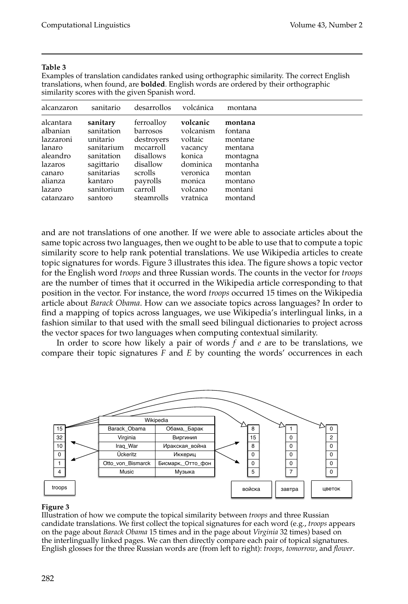Examples of translation candidates ranked using orthographic similarity. The correct English translations, when found, are **bolded**. English words are ordered by their orthographic similarity scores with the given Spanish word.

and are not translations of one another. If we were able to associate articles about the same topic across two languages, then we ought to be able to use that to compute a topic similarity score to help rank potential translations. We use Wikipedia articles to create topic signatures for words. Figure 3 illustrates this idea. The figure shows a topic vector for the English word *troops* and three Russian words. The counts in the vector for *troops* are the number of times that it occurred in the Wikipedia article corresponding to that position in the vector. For instance, the word *troops* occurred 15 times on the Wikipedia article about *Barack Obama*. How can we associate topics across languages? In order to find a mapping of topics across languages, we use Wikipedia's interlingual links, in a fashion similar to that used with the small seed bilingual dictionaries to project across the vector spaces for two languages when computing contextual similarity.

In order to score how likely a pair of words *f* and *e* are to be translations, we compare their topic signatures *F* and *E* by counting the words' occurrences in each



## **Figure 3**

Illustration of how we compute the topical similarity between *troops* and three Russian candidate translations. We first collect the topical signatures for each word (e.g., *troops* appears on the page about *Barack Obama* 15 times and in the page about *Virginia* 32 times) based on the interlingually linked pages. We can then directly compare each pair of topical signatures. English glosses for the three Russian words are (from left to right): *troops, tomorrow*, and *flower*.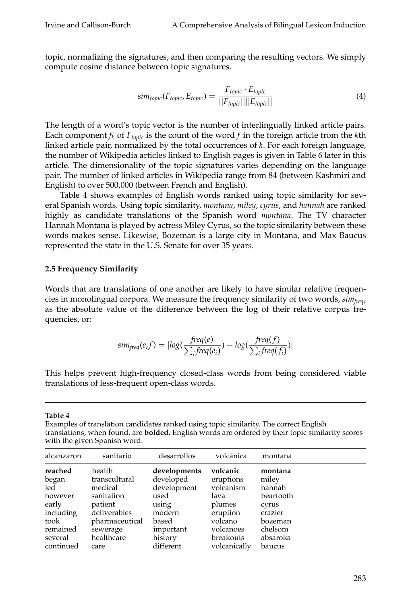topic, normalizing the signatures, and then comparing the resulting vectors. We simply compute cosine distance between topic signatures.

$$
sim_{topic}(F_{topic}, E_{topic}) = \frac{F_{topic} \cdot E_{topic}}{||F_{topic}|| ||E_{topic}||}
$$
\n(4)

The length of a word's topic vector is the number of interlingually linked article pairs. Each component  $f_k$  of  $F_{topic}$  is the count of the word  $f$  in the foreign article from the  $k$ th linked article pair, normalized by the total occurrences of *k*. For each foreign language, the number of Wikipedia articles linked to English pages is given in Table 6 later in this article. The dimensionality of the topic signatures varies depending on the language pair. The number of linked articles in Wikipedia range from 84 (between Kashmiri and English) to over 500,000 (between French and English).

Table 4 shows examples of English words ranked using topic similarity for several Spanish words. Using topic similarity, *montana*, *miley*, *cyrus*, and *hannah* are ranked highly as candidate translations of the Spanish word *montana*. The TV character Hannah Montana is played by actress Miley Cyrus, so the topic similarity between these words makes sense. Likewise, Bozeman is a large city in Montana, and Max Baucus represented the state in the U.S. Senate for over 35 years.

## **2.5 Frequency Similarity**

Words that are translations of one another are likely to have similar relative frequencies in monolingual corpora. We measure the frequency similarity of two words, *simfreq*, as the absolute value of the difference between the log of their relative corpus frequencies, or:

$$
sim_{freq}(e,f) = |log(\frac{freq(e)}{\sum_i freq(e_i)}) - log(\frac{freq(f)}{\sum_i freq(f_i)})|
$$

This helps prevent high-frequency closed-class words from being considered viable translations of less-frequent open-class words.

#### **Table 4**

Examples of translation candidates ranked using topic similarity. The correct English translations, when found, are **bolded**. English words are ordered by their topic similarity scores with the given Spanish word.

| reached<br>health<br>volcanic<br>developments<br>montana<br>developed<br>transcultural<br>eruptions<br>began<br>miley<br>led<br>volcanism<br>development<br>hannah<br>medical<br>sanitation<br>beartooth<br>however<br>used<br>lava<br>patient<br>early<br>plumes<br>using<br>cyrus<br>deliverables<br>including<br>modern<br>eruption<br>crazier<br>took<br>pharmaceutical<br>volcano<br>based<br>bozeman<br>remained<br>volcanoes<br>chelsom<br>important<br>sewerage<br>healthcare<br>breakouts<br>history<br>absaroka<br>several<br>different<br>volcanically<br>continued<br>baucus<br>care |  |
|--------------------------------------------------------------------------------------------------------------------------------------------------------------------------------------------------------------------------------------------------------------------------------------------------------------------------------------------------------------------------------------------------------------------------------------------------------------------------------------------------------------------------------------------------------------------------------------------------|--|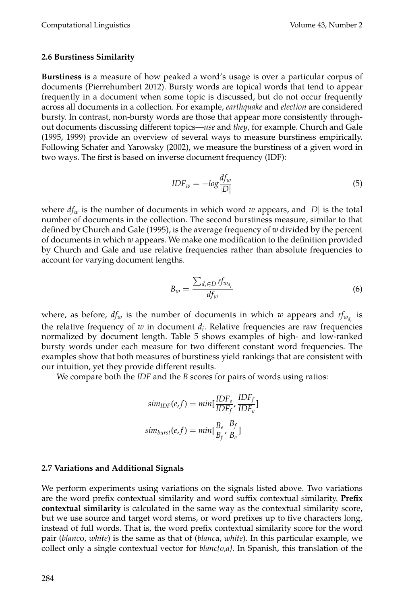## **2.6 Burstiness Similarity**

**Burstiness** is a measure of how peaked a word's usage is over a particular corpus of documents (Pierrehumbert 2012). Bursty words are topical words that tend to appear frequently in a document when some topic is discussed, but do not occur frequently across all documents in a collection. For example, *earthquake* and *election* are considered bursty. In contrast, non-bursty words are those that appear more consistently throughout documents discussing different topics—*use* and *they*, for example. Church and Gale (1995, 1999) provide an overview of several ways to measure burstiness empirically. Following Schafer and Yarowsky (2002), we measure the burstiness of a given word in two ways. The first is based on inverse document frequency (IDF):

$$
IDF_w = -log\frac{df_w}{|D|} \tag{5}
$$

where  $df_w$  is the number of documents in which word *w* appears, and |D| is the total number of documents in the collection. The second burstiness measure, similar to that defined by Church and Gale (1995), is the average frequency of *w* divided by the percent of documents in which *w* appears. We make one modification to the definition provided by Church and Gale and use relative frequencies rather than absolute frequencies to account for varying document lengths.

$$
B_w = \frac{\sum_{d_i \in D} r f_{w_{d_i}}}{df_w} \tag{6}
$$

where, as before,  $df_w$  is the number of documents in which *w* appears and  $f_{w_{d_i}}$  is the relative frequency of *w* in document *d<sup>i</sup>* . Relative frequencies are raw frequencies normalized by document length. Table 5 shows examples of high- and low-ranked bursty words under each measure for two different constant word frequencies. The examples show that both measures of burstiness yield rankings that are consistent with our intuition, yet they provide different results.

We compare both the *IDF* and the *B* scores for pairs of words using ratios:

$$
sim_{IDF}(e,f) = min[\frac{IDF_e}{IDF_f}, \frac{IDF_f}{IDF_e}]
$$

$$
sim_{burst}(e,f) = min[\frac{B_e}{B_f}, \frac{B_f}{B_e}]
$$

## **2.7 Variations and Additional Signals**

We perform experiments using variations on the signals listed above. Two variations are the word prefix contextual similarity and word suffix contextual similarity. **Prefix contextual similarity** is calculated in the same way as the contextual similarity score, but we use source and target word stems, or word prefixes up to five characters long, instead of full words. That is, the word prefix contextual similarity score for the word pair (*blanc*o, *white*) is the same as that of (*blanc*a, *white*). In this particular example, we collect only a single contextual vector for *blanc{o,a}*. In Spanish, this translation of the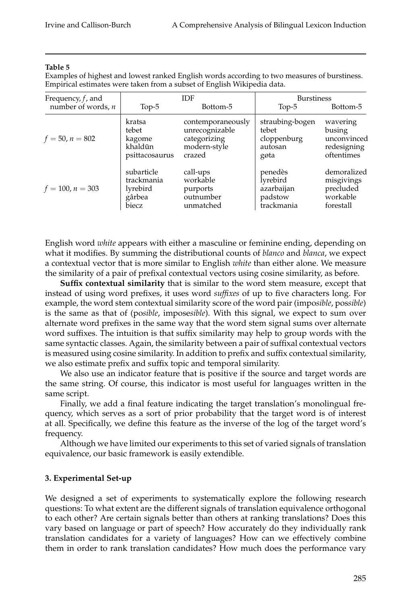Examples of highest and lowest ranked English words according to two measures of burstiness. Empirical estimates were taken from a subset of English Wikipedia data.

| Frequency, $f$ , and |                | <b>IDF</b>        | <b>Burstiness</b> |             |
|----------------------|----------------|-------------------|-------------------|-------------|
| number of words, $n$ | Top- $5$       | Bottom-5          | Top- $5$          | Bottom-5    |
| $f = 50, n = 802$    | kratsa         | contemporaneously | straubing-bogen   | wavering    |
|                      | tebet          | unrecognizable    | tebet             | busing      |
|                      | kagome         | categorizing      | cloppenburg       | unconvinced |
|                      | khaldūn        | modern-style      | autosan           | redesigning |
|                      | psittacosaurus | crazed            | gøta              | oftentimes  |
| $f = 100, n = 303$   | subarticle     | call-ups          | penedès           | demoralized |
|                      | trackmania     | workable          | lyrebird          | misgivings  |
|                      | lyrebird       | purports          | azarbaijan        | precluded   |
|                      | gârbea         | outnumber         | padstow           | workable    |
|                      | biecz          | unmatched         | trackmania        | forestall   |

English word *white* appears with either a masculine or feminine ending, depending on what it modifies. By summing the distributional counts of *blanco* and *blanca*, we expect a contextual vector that is more similar to English *white* than either alone. We measure the similarity of a pair of prefixal contextual vectors using cosine similarity, as before.

**Suffix contextual similarity** that is similar to the word stem measure, except that instead of using word prefixes, it uses word *suffixes* of up to five characters long. For example, the word stem contextual similarity score of the word pair (impo*sible*, pos*sible*) is the same as that of (po*sible*, impose*sible*). With this signal, we expect to sum over alternate word prefixes in the same way that the word stem signal sums over alternate word suffixes. The intuition is that suffix similarity may help to group words with the same syntactic classes. Again, the similarity between a pair of suffixal contextual vectors is measured using cosine similarity. In addition to prefix and suffix contextual similarity, we also estimate prefix and suffix topic and temporal similarity.

We also use an indicator feature that is positive if the source and target words are the same string. Of course, this indicator is most useful for languages written in the same script.

Finally, we add a final feature indicating the target translation's monolingual frequency, which serves as a sort of prior probability that the target word is of interest at all. Specifically, we define this feature as the inverse of the log of the target word's frequency.

Although we have limited our experiments to this set of varied signals of translation equivalence, our basic framework is easily extendible.

# **3. Experimental Set-up**

We designed a set of experiments to systematically explore the following research questions: To what extent are the different signals of translation equivalence orthogonal to each other? Are certain signals better than others at ranking translations? Does this vary based on language or part of speech? How accurately do they individually rank translation candidates for a variety of languages? How can we effectively combine them in order to rank translation candidates? How much does the performance vary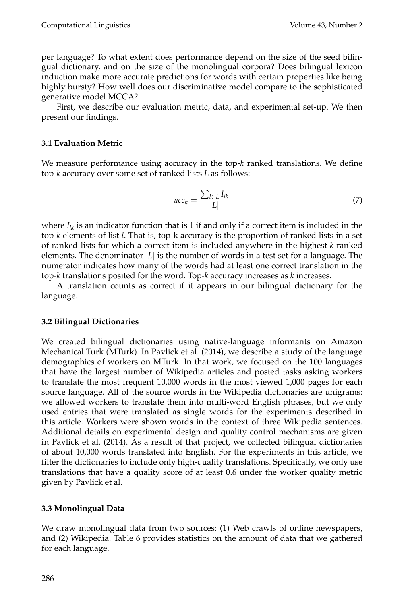per language? To what extent does performance depend on the size of the seed bilingual dictionary, and on the size of the monolingual corpora? Does bilingual lexicon induction make more accurate predictions for words with certain properties like being highly bursty? How well does our discriminative model compare to the sophisticated generative model MCCA?

First, we describe our evaluation metric, data, and experimental set-up. We then present our findings.

## **3.1 Evaluation Metric**

We measure performance using accuracy in the top-*k* ranked translations. We define top-*k* accuracy over some set of ranked lists *L* as follows:

$$
acc_k = \frac{\sum_{l \in L} I_{lk}}{|L|} \tag{7}
$$

where  $I_{lk}$  is an indicator function that is 1 if and only if a correct item is included in the top-*k* elements of list *l*. That is, top-k accuracy is the proportion of ranked lists in a set of ranked lists for which a correct item is included anywhere in the highest *k* ranked elements. The denominator  $|L|$  is the number of words in a test set for a language. The numerator indicates how many of the words had at least one correct translation in the top-*k* translations posited for the word. Top-*k* accuracy increases as *k* increases.

A translation counts as correct if it appears in our bilingual dictionary for the language.

## **3.2 Bilingual Dictionaries**

We created bilingual dictionaries using native-language informants on Amazon Mechanical Turk (MTurk). In Pavlick et al. (2014), we describe a study of the language demographics of workers on MTurk. In that work, we focused on the 100 languages that have the largest number of Wikipedia articles and posted tasks asking workers to translate the most frequent 10,000 words in the most viewed 1,000 pages for each source language. All of the source words in the Wikipedia dictionaries are unigrams: we allowed workers to translate them into multi-word English phrases, but we only used entries that were translated as single words for the experiments described in this article. Workers were shown words in the context of three Wikipedia sentences. Additional details on experimental design and quality control mechanisms are given in Pavlick et al. (2014). As a result of that project, we collected bilingual dictionaries of about 10,000 words translated into English. For the experiments in this article, we filter the dictionaries to include only high-quality translations. Specifically, we only use translations that have a quality score of at least 0.6 under the worker quality metric given by Pavlick et al.

# **3.3 Monolingual Data**

We draw monolingual data from two sources: (1) Web crawls of online newspapers, and (2) Wikipedia. Table 6 provides statistics on the amount of data that we gathered for each language.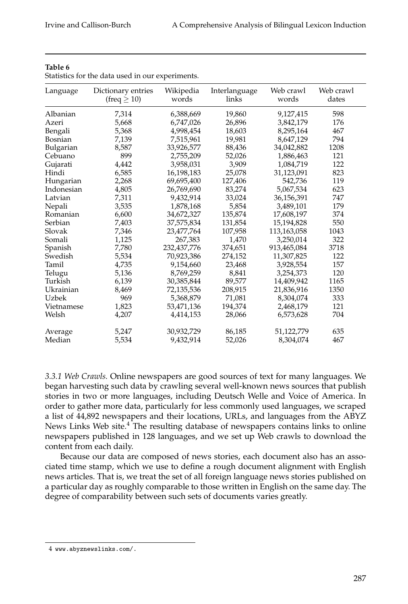| - -<br>×<br>٠<br>×<br>۰,<br>٧<br>×<br>۰, |  |
|------------------------------------------|--|
|------------------------------------------|--|

| Language       | Dictionary entries<br>(freq $\geq$ 10) | Wikipedia<br>words | Interlanguage<br>links | Web crawl<br>words | Web crawl<br>dates |
|----------------|----------------------------------------|--------------------|------------------------|--------------------|--------------------|
| Albanian       | 7,314                                  | 6,388,669          | 19,860                 | 9,127,415          | 598                |
| Azeri          | 5,668                                  | 6,747,026          | 26,896                 | 3,842,179          | 176                |
| Bengali        | 5,368                                  | 4,998,454          | 18,603                 | 8,295,164          | 467                |
| <b>Bosnian</b> | 7,139                                  | 7,515,961          | 19,981                 | 8,647,129          | 794                |
| Bulgarian      | 8,587                                  | 33,926,577         | 88,436                 | 34,042,882         | 1208               |
| Cebuano        | 899                                    | 2,755,209          | 52,026                 | 1,886,463          | 121                |
| Gujarati       | 4,442                                  | 3,958,031          | 3,909                  | 1,084,719          | 122                |
| Hindi          | 6,585                                  | 16,198,183         | 25,078                 | 31,123,091         | 823                |
| Hungarian      | 2,268                                  | 69,695,400         | 127,406                | 542,736            | 119                |
| Indonesian     | 4,805                                  | 26,769,690         | 83,274                 | 5,067,534          | 623                |
| Latvian        | 7,311                                  | 9,432,914          | 33,024                 | 36,156,391         | 747                |
| Nepali         | 3,535                                  | 1,878,168          | 5.854                  | 3,489,101          | 179                |
| Romanian       | 6,600                                  | 34,672,327         | 135,874                | 17,608,197         | 374                |
| Serbian        | 7,403                                  | 37,575,834         | 131,854                | 15,194,828         | 550                |
| Slovak         | 7,346                                  | 23,477,764         | 107,958                | 113,163,058        | 1043               |
| Somali         | 1,125                                  | 267,383            | 1,470                  | 3,250,014          | 322                |
| Spanish        | 7,780                                  | 232,437,776        | 374,651                | 913,465,084        | 3718               |
| Swedish        | 5,534                                  | 70,923,386         | 274,152                | 11,307,825         | 122                |
| Tamil          | 4,735                                  | 9,154,660          | 23,468                 | 3,928,554          | 157                |
| Telugu         | 5,136                                  | 8,769,259          | 8,841                  | 3,254,373          | 120                |
| Turkish        | 6,139                                  | 30,385,844         | 89,577                 | 14,409,942         | 1165               |
| Ukrainian      | 8,469                                  | 72,135,536         | 208,915                | 21,836,916         | 1350               |
| Uzbek          | 969                                    | 5,368,879          | 71,081                 | 8,304,074          | 333                |
| Vietnamese     | 1,823                                  | 53,471,136         | 194,374                | 2,468,179          | 121                |
| Welsh          | 4,207                                  | 4,414,153          | 28,066                 | 6,573,628          | 704                |
| Average        | 5,247                                  | 30,932,729         | 86,185                 | 51,122,779         | 635                |
| Median         | 5,534                                  | 9,432,914          | 52,026                 | 8,304,074          | 467                |

*3.3.1 Web Crawls.* Online newspapers are good sources of text for many languages. We began harvesting such data by crawling several well-known news sources that publish stories in two or more languages, including Deutsch Welle and Voice of America. In order to gather more data, particularly for less commonly used languages, we scraped a list of 44,892 newspapers and their locations, URLs, and languages from the ABYZ News Links Web site.<sup>4</sup> The resulting database of newspapers contains links to online newspapers published in 128 languages, and we set up Web crawls to download the content from each daily.

Because our data are composed of news stories, each document also has an associated time stamp, which we use to define a rough document alignment with English news articles. That is, we treat the set of all foreign language news stories published on a particular day as roughly comparable to those written in English on the same day. The degree of comparability between such sets of documents varies greatly.

<sup>4</sup> www.abyznewslinks.com/.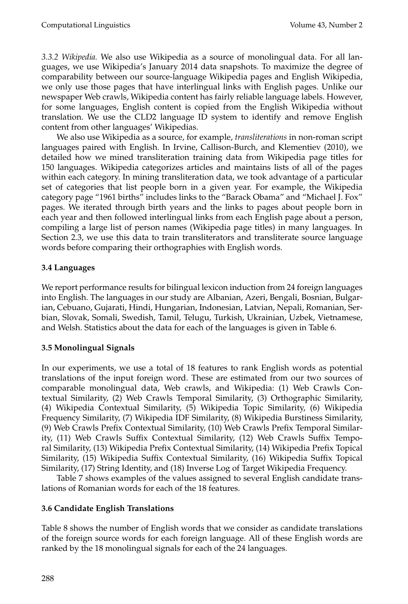*3.3.2 Wikipedia.* We also use Wikipedia as a source of monolingual data. For all languages, we use Wikipedia's January 2014 data snapshots. To maximize the degree of comparability between our source-language Wikipedia pages and English Wikipedia, we only use those pages that have interlingual links with English pages. Unlike our newspaper Web crawls, Wikipedia content has fairly reliable language labels. However, for some languages, English content is copied from the English Wikipedia without translation. We use the CLD2 language ID system to identify and remove English content from other languages' Wikipedias.

We also use Wikipedia as a source, for example, *transliterations* in non-roman script languages paired with English. In Irvine, Callison-Burch, and Klementiev (2010), we detailed how we mined transliteration training data from Wikipedia page titles for 150 languages. Wikipedia categorizes articles and maintains lists of all of the pages within each category. In mining transliteration data, we took advantage of a particular set of categories that list people born in a given year. For example, the Wikipedia category page "1961 births" includes links to the "Barack Obama" and "Michael J. Fox" pages. We iterated through birth years and the links to pages about people born in each year and then followed interlingual links from each English page about a person, compiling a large list of person names (Wikipedia page titles) in many languages. In Section 2.3, we use this data to train transliterators and transliterate source language words before comparing their orthographies with English words.

# **3.4 Languages**

We report performance results for bilingual lexicon induction from 24 foreign languages into English. The languages in our study are Albanian, Azeri, Bengali, Bosnian, Bulgarian, Cebuano, Gujarati, Hindi, Hungarian, Indonesian, Latvian, Nepali, Romanian, Serbian, Slovak, Somali, Swedish, Tamil, Telugu, Turkish, Ukrainian, Uzbek, Vietnamese, and Welsh. Statistics about the data for each of the languages is given in Table 6.

# **3.5 Monolingual Signals**

In our experiments, we use a total of 18 features to rank English words as potential translations of the input foreign word. These are estimated from our two sources of comparable monolingual data, Web crawls, and Wikipedia: (1) Web Crawls Contextual Similarity, (2) Web Crawls Temporal Similarity, (3) Orthographic Similarity, (4) Wikipedia Contextual Similarity, (5) Wikipedia Topic Similarity, (6) Wikipedia Frequency Similarity, (7) Wikipedia IDF Similarity, (8) Wikipedia Burstiness Similarity, (9) Web Crawls Prefix Contextual Similarity, (10) Web Crawls Prefix Temporal Similarity, (11) Web Crawls Suffix Contextual Similarity, (12) Web Crawls Suffix Temporal Similarity, (13) Wikipedia Prefix Contextual Similarity, (14) Wikipedia Prefix Topical Similarity, (15) Wikipedia Suffix Contextual Similarity, (16) Wikipedia Suffix Topical Similarity, (17) String Identity, and (18) Inverse Log of Target Wikipedia Frequency.

Table 7 shows examples of the values assigned to several English candidate translations of Romanian words for each of the 18 features.

# **3.6 Candidate English Translations**

Table 8 shows the number of English words that we consider as candidate translations of the foreign source words for each foreign language. All of these English words are ranked by the 18 monolingual signals for each of the 24 languages.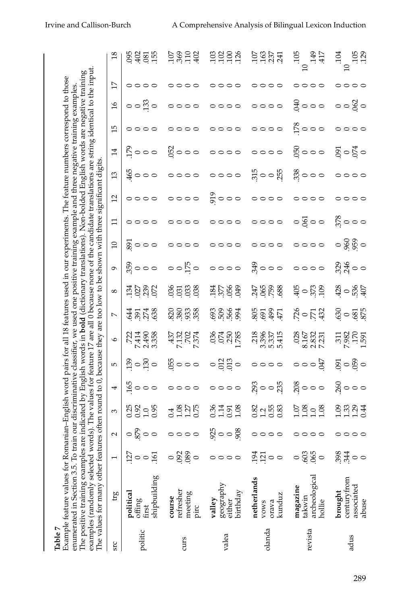| Table 7 | Example feature values for Romanian-English word pairs for all 18 features used in our experiments. The feature numbers correspond to those<br>enumerated in Section 3.5. To train our discriminative classifier, we used one positive training example and three negative training examples<br>The positive training examples are ind<br>examples (randomly selected words).<br>The values for many other features oft |                           |                                   |                                                   |                                |                                                               | The values for feature 17 are all 0 because none of the candidate translations are string identical to the input<br>icated by English words in <b>bold</b> (dictionary translations). Non-bolded English words are negative training<br>en round to 0, because they are too low to be shown with three significant digits |                                          |                                 |                        |                           |                         |                                |                                                  |                               |                           |                         |                          |                                        |
|---------|-------------------------------------------------------------------------------------------------------------------------------------------------------------------------------------------------------------------------------------------------------------------------------------------------------------------------------------------------------------------------------------------------------------------------|---------------------------|-----------------------------------|---------------------------------------------------|--------------------------------|---------------------------------------------------------------|---------------------------------------------------------------------------------------------------------------------------------------------------------------------------------------------------------------------------------------------------------------------------------------------------------------------------|------------------------------------------|---------------------------------|------------------------|---------------------------|-------------------------|--------------------------------|--------------------------------------------------|-------------------------------|---------------------------|-------------------------|--------------------------|----------------------------------------|
| STC     | $\epsilon_{\rm H}$                                                                                                                                                                                                                                                                                                                                                                                                      |                           | $\sim$                            | 3                                                 | 4                              | ю                                                             | $\circ$                                                                                                                                                                                                                                                                                                                   | ↖                                        | $\infty$                        | Ó                      | $\overline{10}$           | $\Xi$                   | $\overline{c}$                 | 13                                               | 14                            | 15                        | $\frac{8}{1}$           | 17                       | $\frac{8}{2}$                          |
| politic | shipbuilding<br>political<br>offing<br>offing<br>first                                                                                                                                                                                                                                                                                                                                                                  | 127<br>161                | $\circ \frac{8}{8} \circ \circ$   | 0.95<br>0.25<br>0.92<br>$\overline{1.0}$          | 165<br>$\circ$ $\circ$         | $\circ$ $\stackrel{\sim}{\approx}$ $\circ$<br>13 <sup>o</sup> | 3.358<br>7.414<br>2.490<br>.722                                                                                                                                                                                                                                                                                           | 638<br>$391$<br>$274$<br>44              | 3582<br>3582                    | 359<br>$\circ$ $\circ$ | 89]<br>$\circ$<br>$\circ$ | $\circ$<br>$\circ$      | 0000                           | 465<br>$\circ$<br>$\circ$                        | Ĕ<br>$\circ$ $\circ$          | 0000                      | ಂ ಪ್ಲ<br>$\circ$        | 0000                     | 095<br>$rac{36}{65}$                   |
| curs    | refresher<br>meeting<br>course<br>pirc                                                                                                                                                                                                                                                                                                                                                                                  | $\circ$                   | $\circ \circ \circ \circ$         | 1.08<br>1.27<br>0.75<br>0.4                       | $\circ$<br>$\circ \circ \circ$ | 5000                                                          | 7.132<br>437<br>7.374                                                                                                                                                                                                                                                                                                     | 820<br>933<br>358                        | 85<br>85<br>038                 | $\circ$ $\frac{15}{5}$ | 0000                      | 0000                    | $\circ \circ \circ$            | 0000                                             | g000                          | 0000                      | 0000                    | 0000                     | 589<br>100<br>402                      |
| valea   | geography<br>either<br>birthday<br>valley                                                                                                                                                                                                                                                                                                                                                                               | $\circ \circ \circ \circ$ | $\frac{5}{20}$ 0 0 $\frac{5}{20}$ | 0.36<br>1.08<br>1.14<br>0.91                      | 0000                           | $\frac{012}{013}$<br>$\circ$<br>$\circ$                       | 354258                                                                                                                                                                                                                                                                                                                    | 50<br>98<br>99<br>693                    | 377<br>056<br>184<br>670        | 0000                   | $\circ \circ \circ \circ$ | 0000                    | 919<br>$\circ$<br>$\circ$      | 0000                                             | 0000                          | 0000                      | 0000                    | 0000                     | 8888                                   |
| olanda  | netherlands<br>vows<br>orava<br>kunduz                                                                                                                                                                                                                                                                                                                                                                                  | $\frac{34}{21}$ 0 0       | $\circ \circ \circ \circ$         | $\frac{1}{2}$ .55<br>0.82<br>0.83                 | 235<br>စ္လို ၁ ၁               | 0<br>$\circ \circ \circ$                                      | .218<br>3.396<br>5.337<br>5.415                                                                                                                                                                                                                                                                                           | 805<br>499<br>691<br>47                  | 065<br><b>759</b><br>688<br>247 | क्षे ० ०<br>$\circ$    | 0000                      | 0000                    | 0<br>$\circ$<br>$\circ$        | 315<br>255<br>$\circ$<br>$\circ$                 | $\circ \circ \circ$           | 0000                      | 0000                    | 0000                     | <u>ដ្ឋិ ដូង្គី</u>                     |
| revista | archeological<br>magazine<br>takwin<br>hollie                                                                                                                                                                                                                                                                                                                                                                           | 605<br>$\circ$            | $\circ \circ \circ \circ$         | $\frac{8}{1}$ $\frac{0}{1}$ $\frac{8}{1}$<br>1.07 | ္လို ၁ ၁ ၁                     | G <sub>1</sub><br>$\circ$<br>0<br>$\circ$                     | .028<br>8.167<br>2.832<br>7.231                                                                                                                                                                                                                                                                                           | $\frac{56}{10}$<br>432<br>$\overline{5}$ | 405<br>$-5.39$                  | 0000                   | 0000                      | $\bar{g}$ oo<br>$\circ$ | $\circ$<br>$\circ$<br>$\circ$  | $\mathop{\circ}\limits^{\infty}\circ$<br>$\circ$ | <b>U50</b><br>$\circ$ $\circ$ | 178<br>$\circ$<br>$\circ$ | 940<br>$\circ$ $\circ$  | 0<br>$\circ$<br>$\circ$  | .105<br>.149<br>$-417$                 |
| adus    | centuryfrom<br>associated<br>brought<br>abuse                                                                                                                                                                                                                                                                                                                                                                           | $\frac{364}{340}$ 00      | 0000                              | 0<br>0<br>0<br>0<br>0<br>0<br>0                   | ႙ိဝဝဝ                          | ခြံ ၁ ၆ ၁                                                     | 311<br>7.982<br>1.591                                                                                                                                                                                                                                                                                                     | 681<br>875<br>630<br>$\circ$             | ង<br>១.កូន<br>407               | 8 रू ००<br>8 रू        | နစ်<br>၁၉<br>$\circ$      | $\frac{8}{20}$ 00       | $\circ$<br>$\circ \circ \circ$ | $\circ$<br>$\circ \circ \circ$                   | 5050                          | $\circ\circ\circ\circ$    | $\circ$ $\circ$ $\circ$ | $\circ \circ \circ$<br>⊂ | $105$<br>$-129$<br>.104<br>$\subseteq$ |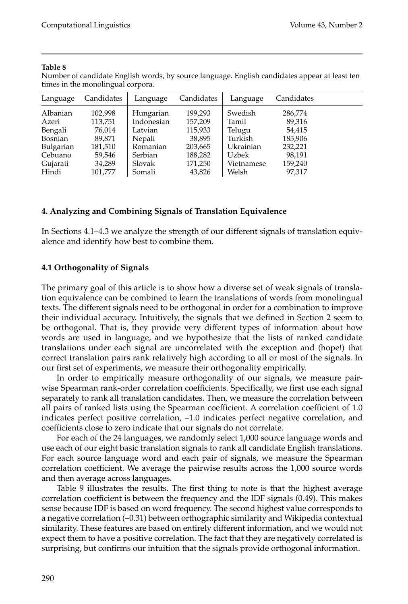| Candidates | Language   | Candidates | Language   | Candidates |  |
|------------|------------|------------|------------|------------|--|
| 102,998    | Hungarian  | 199,293    | Swedish    | 286,774    |  |
| 113,751    | Indonesian | 157,209    | Tamil      | 89,316     |  |
| 76,014     | Latvian    | 115,933    | Telugu     | 54,415     |  |
| 89,871     | Nepali     | 38,895     | Turkish    | 185,906    |  |
| 181,510    | Romanian   | 203,665    | Ukrainian  | 232.221    |  |
| 59,546     | Serbian    | 188,282    | Uzbek      | 98,191     |  |
| 34,289     | Slovak     | 171,250    | Vietnamese | 159,240    |  |
| 101,777    | Somali     | 43,826     | Welsh      | 97,317     |  |
|            |            |            |            |            |  |

Number of candidate English words, by source language. English candidates appear at least ten times in the monolingual corpora.

## **4. Analyzing and Combining Signals of Translation Equivalence**

In Sections 4.1–4.3 we analyze the strength of our different signals of translation equivalence and identify how best to combine them.

## **4.1 Orthogonality of Signals**

The primary goal of this article is to show how a diverse set of weak signals of translation equivalence can be combined to learn the translations of words from monolingual texts. The different signals need to be orthogonal in order for a combination to improve their individual accuracy. Intuitively, the signals that we defined in Section 2 seem to be orthogonal. That is, they provide very different types of information about how words are used in language, and we hypothesize that the lists of ranked candidate translations under each signal are uncorrelated with the exception and (hope!) that correct translation pairs rank relatively high according to all or most of the signals. In our first set of experiments, we measure their orthogonality empirically.

In order to empirically measure orthogonality of our signals, we measure pairwise Spearman rank-order correlation coefficients. Specifically, we first use each signal separately to rank all translation candidates. Then, we measure the correlation between all pairs of ranked lists using the Spearman coefficient. A correlation coefficient of 1.0 indicates perfect positive correlation, –1.0 indicates perfect negative correlation, and coefficients close to zero indicate that our signals do not correlate.

For each of the 24 languages, we randomly select 1,000 source language words and use each of our eight basic translation signals to rank all candidate English translations. For each source language word and each pair of signals, we measure the Spearman correlation coefficient. We average the pairwise results across the 1,000 source words and then average across languages.

Table 9 illustrates the results. The first thing to note is that the highest average correlation coefficient is between the frequency and the IDF signals (0.49). This makes sense because IDF is based on word frequency. The second highest value corresponds to a negative correlation (–0.31) between orthographic similarity and Wikipedia contextual similarity. These features are based on entirely different information, and we would not expect them to have a positive correlation. The fact that they are negatively correlated is surprising, but confirms our intuition that the signals provide orthogonal information.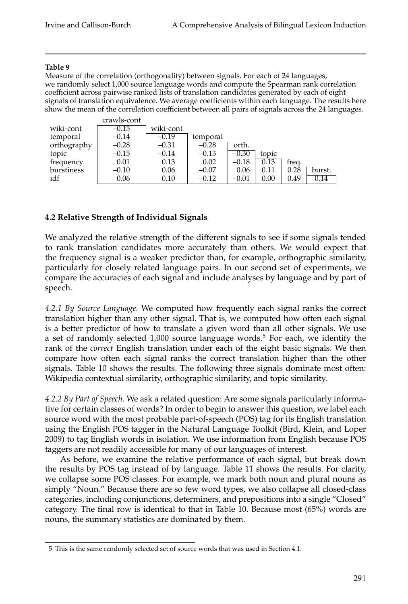Measure of the correlation (orthogonality) between signals. For each of 24 languages, we randomly select 1,000 source language words and compute the Spearman rank correlation coefficient across pairwise ranked lists of translation candidates generated by each of eight signals of translation equivalence. We average coefficients within each language. The results here show the mean of the correlation coefficient between all pairs of signals across the 24 languages.

|             | crawls-cont |           |          |         |       |       |        |
|-------------|-------------|-----------|----------|---------|-------|-------|--------|
| wiki-cont   | $-0.15$     | wiki-cont |          |         |       |       |        |
| temporal    | $-0.14$     | $-0.19$   | temporal |         |       |       |        |
| orthography | $-0.28$     | $-0.31$   | $-0.28$  | orth.   |       |       |        |
| topic       | $-0.15$     | $-0.14$   | $-0.13$  | $-0.30$ | topic |       |        |
| frequency   | 0.01        | 0.13      | 0.02     | $-0.18$ | 0.13  | frea. |        |
| burstiness  | $-0.10$     | 0.06      | $-0.07$  | 0.06    | 0.11  | 0.28  | burst. |
| idf         | 0.06        | 0.10      | $-0.12$  | $-0.01$ | 0.00  | 0.49  | 0.14   |

## **4.2 Relative Strength of Individual Signals**

We analyzed the relative strength of the different signals to see if some signals tended to rank translation candidates more accurately than others. We would expect that the frequency signal is a weaker predictor than, for example, orthographic similarity, particularly for closely related language pairs. In our second set of experiments, we compare the accuracies of each signal and include analyses by language and by part of speech.

*4.2.1 By Source Language.* We computed how frequently each signal ranks the correct translation higher than any other signal. That is, we computed how often each signal is a better predictor of how to translate a given word than all other signals. We use a set of randomly selected 1,000 source language words.<sup>5</sup> For each, we identify the rank of the *correct* English translation under each of the eight basic signals. We then compare how often each signal ranks the correct translation higher than the other signals. Table 10 shows the results. The following three signals dominate most often: Wikipedia contextual similarity, orthographic similarity, and topic similarity.

*4.2.2 By Part of Speech.* We ask a related question: Are some signals particularly informative for certain classes of words? In order to begin to answer this question, we label each source word with the most probable part-of-speech (POS) tag for its English translation using the English POS tagger in the Natural Language Toolkit (Bird, Klein, and Loper 2009) to tag English words in isolation. We use information from English because POS taggers are not readily accessible for many of our languages of interest.

As before, we examine the relative performance of each signal, but break down the results by POS tag instead of by language. Table 11 shows the results. For clarity, we collapse some POS classes. For example, we mark both noun and plural nouns as simply "Noun." Because there are so few word types, we also collapse all closed-class categories, including conjunctions, determiners, and prepositions into a single "Closed" category. The final row is identical to that in Table 10. Because most (65%) words are nouns, the summary statistics are dominated by them.

<sup>5</sup> This is the same randomly selected set of source words that was used in Section 4.1.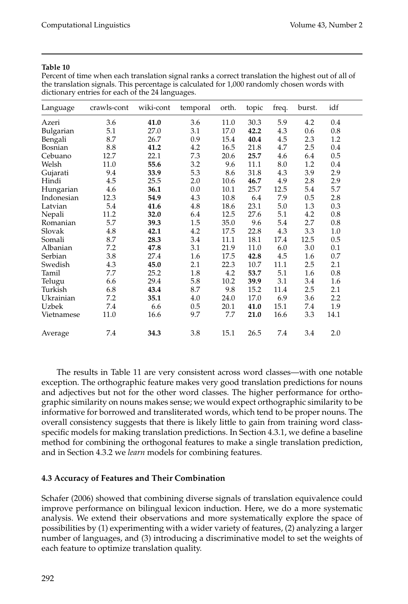Percent of time when each translation signal ranks a correct translation the highest out of all of the translation signals. This percentage is calculated for 1,000 randomly chosen words with dictionary entries for each of the 24 languages.

| Language     | crawls-cont | wiki-cont | temporal | orth. | topic | freq. | burst. | idf     |  |
|--------------|-------------|-----------|----------|-------|-------|-------|--------|---------|--|
| Azeri        | 3.6         | 41.0      | 3.6      | 11.0  | 30.3  | 5.9   | 4.2    | 0.4     |  |
| Bulgarian    | 5.1         | 27.0      | 3.1      | 17.0  | 42.2  | 4.3   | 0.6    | $0.8\,$ |  |
| Bengali      | 8.7         | 26.7      | 0.9      | 15.4  | 40.4  | 4.5   | 2.3    | 1.2     |  |
| Bosnian      | 8.8         | 41.2      | 4.2      | 16.5  | 21.8  | 4.7   | 2.5    | 0.4     |  |
| Cebuano      | 12.7        | 22.1      | 7.3      | 20.6  | 25.7  | 4.6   | 6.4    | 0.5     |  |
| Welsh        | 11.0        | 55.6      | 3.2      | 9.6   | 11.1  | 8.0   | 1.2    | 0.4     |  |
| Gujarati     | 9.4         | 33.9      | 5.3      | 8.6   | 31.8  | 4.3   | 3.9    | 2.9     |  |
| Hindi        | 4.5         | 25.5      | 2.0      | 10.6  | 46.7  | 4.9   | 2.8    | 2.9     |  |
| Hungarian    | 4.6         | 36.1      | 0.0      | 10.1  | 25.7  | 12.5  | 5.4    | 5.7     |  |
| Indonesian   | 12.3        | 54.9      | 4.3      | 10.8  | 6.4   | 7.9   | 0.5    | 2.8     |  |
| Latvian      | 5.4         | 41.6      | 4.8      | 18.6  | 23.1  | 5.0   | 1.3    | 0.3     |  |
| Nepali       | 11.2        | 32.0      | 6.4      | 12.5  | 27.6  | 5.1   | 4.2    | 0.8     |  |
| Romanian     | 5.7         | 39.3      | 1.5      | 35.0  | 9.6   | 5.4   | 2.7    | 0.8     |  |
| Slovak       | 4.8         | 42.1      | 4.2      | 17.5  | 22.8  | 4.3   | 3.3    | 1.0     |  |
| Somali       | 8.7         | 28.3      | 3.4      | 11.1  | 18.1  | 17.4  | 12.5   | 0.5     |  |
| Albanian     | 7.2         | 47.8      | 3.1      | 21.9  | 11.0  | 6.0   | 3.0    | 0.1     |  |
| Serbian      | 3.8         | 27.4      | 1.6      | 17.5  | 42.8  | 4.5   | 1.6    | 0.7     |  |
| Swedish      | 4.3         | 45.0      | 2.1      | 22.3  | 10.7  | 11.1  | 2.5    | 2.1     |  |
| Tamil        | 7.7         | 25.2      | 1.8      | 4.2   | 53.7  | 5.1   | 1.6    | $0.8\,$ |  |
| Telugu       | 6.6         | 29.4      | 5.8      | 10.2  | 39.9  | 3.1   | 3.4    | 1.6     |  |
| Turkish      | 6.8         | 43.4      | 8.7      | 9.8   | 15.2  | 11.4  | 2.5    | 2.1     |  |
| Ukrainian    | 7.2         | 35.1      | 4.0      | 24.0  | 17.0  | 6.9   | 3.6    | 2.2     |  |
| <b>Uzbek</b> | 7.4         | 6.6       | 0.5      | 20.1  | 41.0  | 15.1  | 7.4    | 1.9     |  |
| Vietnamese   | 11.0        | 16.6      | 9.7      | 7.7   | 21.0  | 16.6  | 3.3    | 14.1    |  |
| Average      | 7.4         | 34.3      | 3.8      | 15.1  | 26.5  | 7.4   | 3.4    | 2.0     |  |

The results in Table 11 are very consistent across word classes—with one notable exception. The orthographic feature makes very good translation predictions for nouns and adjectives but not for the other word classes. The higher performance for orthographic similarity on nouns makes sense; we would expect orthographic similarity to be informative for borrowed and transliterated words, which tend to be proper nouns. The overall consistency suggests that there is likely little to gain from training word classspecific models for making translation predictions. In Section 4.3.1, we define a baseline method for combining the orthogonal features to make a single translation prediction, and in Section 4.3.2 we *learn* models for combining features.

## **4.3 Accuracy of Features and Their Combination**

Schafer (2006) showed that combining diverse signals of translation equivalence could improve performance on bilingual lexicon induction. Here, we do a more systematic analysis. We extend their observations and more systematically explore the space of possibilities by (1) experimenting with a wider variety of features, (2) analyzing a larger number of languages, and (3) introducing a discriminative model to set the weights of each feature to optimize translation quality.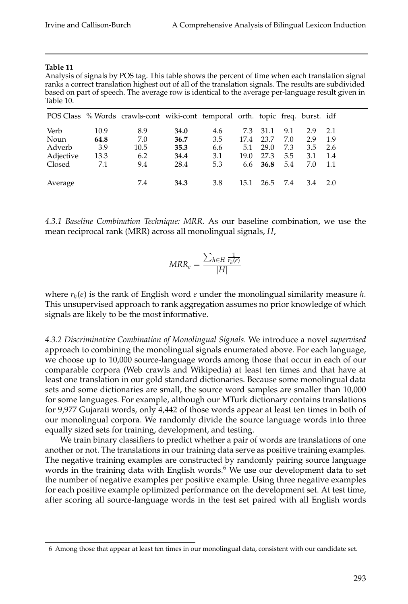Analysis of signals by POS tag. This table shows the percent of time when each translation signal ranks a correct translation highest out of all of the translation signals. The results are subdivided based on part of speech. The average row is identical to the average per-language result given in Table 10.

|           |      | POS Class % Words crawls-cont wiki-cont temporal orth. topic freq. burst. idf |      |     |      |            |     |     |        |  |
|-----------|------|-------------------------------------------------------------------------------|------|-----|------|------------|-----|-----|--------|--|
| Verb      | 10.9 | 8.9                                                                           | 34.0 | 4.6 |      | 7.3 31.1   | 9.1 | 2.9 | 2.1    |  |
| Noun      | 64.8 | 7.0                                                                           | 36.7 | 3.5 | 17.4 | 23.7       | 7.0 | 2.9 | 1.9    |  |
| Adverb    | 3.9  | 10.5                                                                          | 35.3 | 6.6 | 5.1  | 29.0       | 7.3 | 3.5 | 2.6    |  |
| Adjective | 13.3 | 6.2                                                                           | 34.4 | 3.1 | 19.0 | 27.3       | 5.5 | 3.1 | 1.4    |  |
| Closed    | 7.1  | 9.4                                                                           | 28.4 | 5.3 |      | $6.6$ 36.8 | 5.4 | 7.0 | $-1.1$ |  |
| Average   |      | 7.4                                                                           | 34.3 | 3.8 | 15.1 | 26.5       | 7.4 |     | 2.0    |  |

*4.3.1 Baseline Combination Technique: MRR.* As our baseline combination, we use the mean reciprocal rank (MRR) across all monolingual signals, *H*,

$$
MRR_e = \frac{\sum_{h \in H} \frac{1}{r_h(e)}}{|H|}
$$

where *r<sup>h</sup>* (*e*) is the rank of English word *e* under the monolingual similarity measure *h*. This unsupervised approach to rank aggregation assumes no prior knowledge of which signals are likely to be the most informative.

*4.3.2 Discriminative Combination of Monolingual Signals.* We introduce a novel *supervised* approach to combining the monolingual signals enumerated above. For each language, we choose up to 10,000 source-language words among those that occur in each of our comparable corpora (Web crawls and Wikipedia) at least ten times and that have at least one translation in our gold standard dictionaries. Because some monolingual data sets and some dictionaries are small, the source word samples are smaller than 10,000 for some languages. For example, although our MTurk dictionary contains translations for 9,977 Gujarati words, only 4,442 of those words appear at least ten times in both of our monolingual corpora. We randomly divide the source language words into three equally sized sets for training, development, and testing.

We train binary classifiers to predict whether a pair of words are translations of one another or not. The translations in our training data serve as positive training examples. The negative training examples are constructed by randomly pairing source language words in the training data with English words.<sup>6</sup> We use our development data to set the number of negative examples per positive example. Using three negative examples for each positive example optimized performance on the development set. At test time, after scoring all source-language words in the test set paired with all English words

<sup>6</sup> Among those that appear at least ten times in our monolingual data, consistent with our candidate set.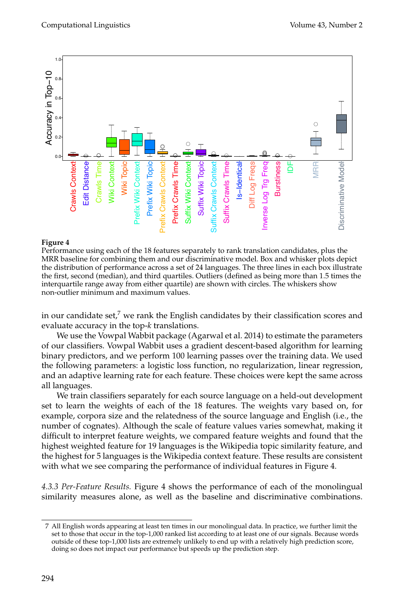

#### **Figure 4**

Performance using each of the 18 features separately to rank translation candidates, plus the MRR baseline for combining them and our discriminative model. Box and whisker plots depict the distribution of performance across a set of 24 languages. The three lines in each box illustrate the first, second (median), and third quartiles. Outliers (defined as being more than 1.5 times the interquartile range away from either quartile) are shown with circles. The whiskers show non-outlier minimum and maximum values.

in our candidate set, $<sup>7</sup>$  we rank the English candidates by their classification scores and</sup> evaluate accuracy in the top-*k* translations.

We use the Vowpal Wabbit package (Agarwal et al. 2014) to estimate the parameters of our classifiers. Vowpal Wabbit uses a gradient descent-based algorithm for learning binary predictors, and we perform 100 learning passes over the training data. We used the following parameters: a logistic loss function, no regularization, linear regression, and an adaptive learning rate for each feature. These choices were kept the same across all languages.

We train classifiers separately for each source language on a held-out development set to learn the weights of each of the 18 features. The weights vary based on, for example, corpora size and the relatedness of the source language and English (i.e., the number of cognates). Although the scale of feature values varies somewhat, making it difficult to interpret feature weights, we compared feature weights and found that the highest weighted feature for 19 languages is the Wikipedia topic similarity feature, and the highest for 5 languages is the Wikipedia context feature. These results are consistent with what we see comparing the performance of individual features in Figure 4.

*4.3.3 Per-Feature Results.* Figure 4 shows the performance of each of the monolingual similarity measures alone, as well as the baseline and discriminative combinations.

<sup>7</sup> All English words appearing at least ten times in our monolingual data. In practice, we further limit the set to those that occur in the top-1,000 ranked list according to at least one of our signals. Because words outside of these top-1,000 lists are extremely unlikely to end up with a relatively high prediction score, doing so does not impact our performance but speeds up the prediction step.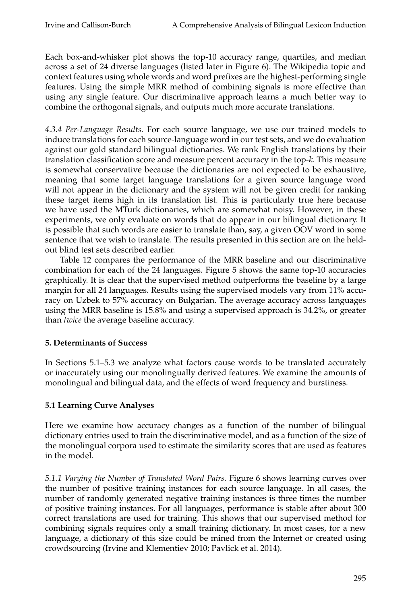Each box-and-whisker plot shows the top-10 accuracy range, quartiles, and median across a set of 24 diverse languages (listed later in Figure 6). The Wikipedia topic and context features using whole words and word prefixes are the highest-performing single features. Using the simple MRR method of combining signals is more effective than using any single feature. Our discriminative approach learns a much better way to combine the orthogonal signals, and outputs much more accurate translations.

*4.3.4 Per-Language Results.* For each source language, we use our trained models to induce translations for each source-language word in our test sets, and we do evaluation against our gold standard bilingual dictionaries. We rank English translations by their translation classification score and measure percent accuracy in the top-*k*. This measure is somewhat conservative because the dictionaries are not expected to be exhaustive, meaning that some target language translations for a given source language word will not appear in the dictionary and the system will not be given credit for ranking these target items high in its translation list. This is particularly true here because we have used the MTurk dictionaries, which are somewhat noisy. However, in these experiments, we only evaluate on words that do appear in our bilingual dictionary. It is possible that such words are easier to translate than, say, a given OOV word in some sentence that we wish to translate. The results presented in this section are on the heldout blind test sets described earlier.

Table 12 compares the performance of the MRR baseline and our discriminative combination for each of the 24 languages. Figure 5 shows the same top-10 accuracies graphically. It is clear that the supervised method outperforms the baseline by a large margin for all 24 languages. Results using the supervised models vary from 11% accuracy on Uzbek to 57% accuracy on Bulgarian. The average accuracy across languages using the MRR baseline is 15.8% and using a supervised approach is 34.2%, or greater than *twice* the average baseline accuracy.

# **5. Determinants of Success**

In Sections 5.1–5.3 we analyze what factors cause words to be translated accurately or inaccurately using our monolingually derived features. We examine the amounts of monolingual and bilingual data, and the effects of word frequency and burstiness.

# **5.1 Learning Curve Analyses**

Here we examine how accuracy changes as a function of the number of bilingual dictionary entries used to train the discriminative model, and as a function of the size of the monolingual corpora used to estimate the similarity scores that are used as features in the model.

*5.1.1 Varying the Number of Translated Word Pairs.* Figure 6 shows learning curves over the number of positive training instances for each source language. In all cases, the number of randomly generated negative training instances is three times the number of positive training instances. For all languages, performance is stable after about 300 correct translations are used for training. This shows that our supervised method for combining signals requires only a small training dictionary. In most cases, for a new language, a dictionary of this size could be mined from the Internet or created using crowdsourcing (Irvine and Klementiev 2010; Pavlick et al. 2014).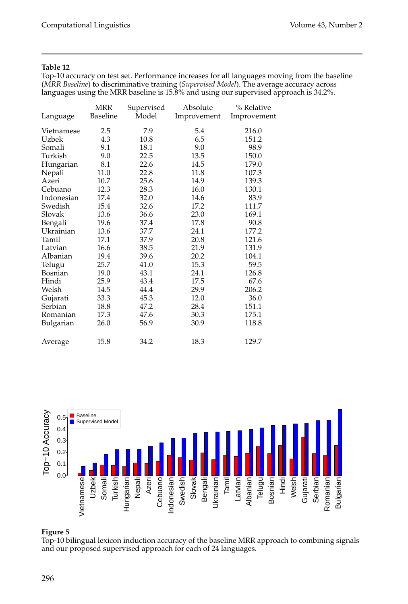Top-10 accuracy on test set. Performance increases for all languages moving from the baseline (*MRR Baseline*) to discriminative training (*Supervised Model*). The average accuracy across languages using the MRR baseline is 15.8% and using our supervised approach is 34.2%.

| Language   | <b>MRR</b><br>Baseline | Supervised<br>Model | Absolute<br>Improvement | % Relative<br>Improvement |  |
|------------|------------------------|---------------------|-------------------------|---------------------------|--|
| Vietnamese | 2.5                    | 7.9                 | 5.4                     | 216.0                     |  |
| Uzbek      | 4.3                    | 10.8                | 6.5                     | 151.2                     |  |
| Somali     | 9.1                    | 18.1                | 9.0                     | 98.9                      |  |
| Turkish    | 9.0                    | 22.5                | 13.5                    | 150.0                     |  |
| Hungarian  | 8.1                    | 22.6                | 14.5                    | 179.0                     |  |
| Nepali     | 11.0                   | 22.8                | 11.8                    | 107.3                     |  |
| Azeri      | 10.7                   | 25.6                | 14.9                    | 139.3                     |  |
| Cebuano    | 12.3                   | 28.3                | 16.0                    | 130.1                     |  |
| Indonesian | 17.4                   | 32.0                | 14.6                    | 83.9                      |  |
| Swedish    | 15.4                   | 32.6                | 17.2                    | 111.7                     |  |
| Slovak     | 13.6                   | 36.6                | 23.0                    | 169.1                     |  |
| Bengali    | 19.6                   | 37.4                | 17.8                    | 90.8                      |  |
| Ukrainian  | 13.6                   | 37.7                | 24.1                    | 177.2                     |  |
| Tamil      | 17.1                   | 37.9                | 20.8                    | 121.6                     |  |
| Latvian    | 16.6                   | 38.5                | 21.9                    | 131.9                     |  |
| Albanian   | 19.4                   | 39.6                | 20.2                    | 104.1                     |  |
| Telugu     | 25.7                   | 41.0                | 15.3                    | 59.5                      |  |
| Bosnian    | 19.0                   | 43.1                | 24.1                    | 126.8                     |  |
| Hindi      | 25.9                   | 43.4                | 17.5                    | 67.6                      |  |
| Welsh      | 14.5                   | 44.4                | 29.9                    | 206.2                     |  |
| Gujarati   | 33.3                   | 45.3                | 12.0                    | 36.0                      |  |
| Serbian    | 18.8                   | 47.2                | 28.4                    | 151.1                     |  |
| Romanian   | 17.3                   | 47.6                | 30.3                    | 175.1                     |  |
| Bulgarian  | 26.0                   | 56.9                | 30.9                    | 118.8                     |  |
| Average    | 15.8                   | 34.2                | 18.3                    | 129.7                     |  |



## **Figure 5**

Top-10 bilingual lexicon induction accuracy of the baseline MRR approach to combining signals and our proposed supervised approach for each of 24 languages.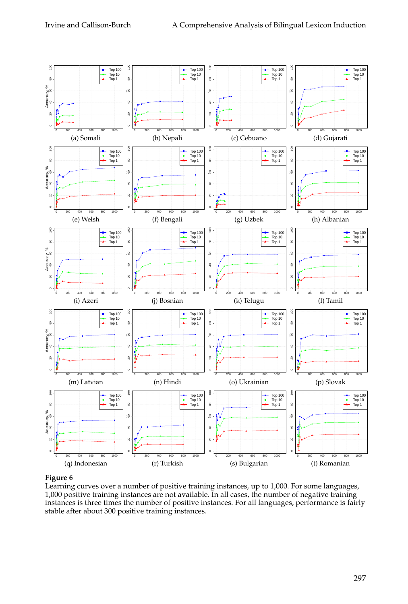

# **Figure 6**

Learning curves over a number of positive training instances, up to 1,000. For some languages, 1,000 positive training instances are not available. In all cases, the number of negative training instances is three times the number of positive instances. For all languages, performance is fairly stable after about 300 positive training instances.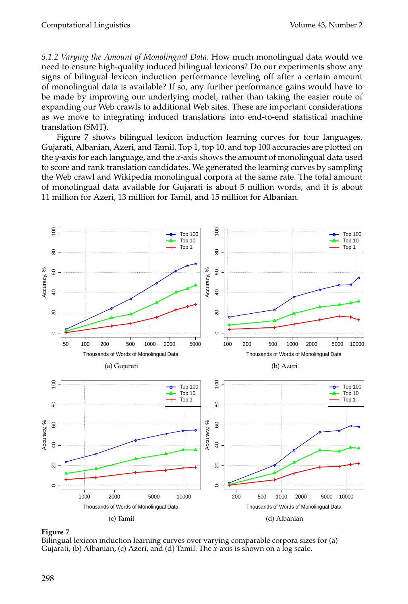*5.1.2 Varying the Amount of Monolingual Data.* How much monolingual data would we need to ensure high-quality induced bilingual lexicons? Do our experiments show any signs of bilingual lexicon induction performance leveling off after a certain amount of monolingual data is available? If so, any further performance gains would have to be made by improving our underlying model, rather than taking the easier route of expanding our Web crawls to additional Web sites. These are important considerations as we move to integrating induced translations into end-to-end statistical machine translation (SMT).

Figure 7 shows bilingual lexicon induction learning curves for four languages, Gujarati, Albanian, Azeri, and Tamil. Top 1, top 10, and top 100 accuracies are plotted on the *y*-axis for each language, and the *x*-axis shows the amount of monolingual data used to score and rank translation candidates. We generated the learning curves by sampling the Web crawl and Wikipedia monolingual corpora at the same rate. The total amount of monolingual data available for Gujarati is about 5 million words, and it is about 11 million for Azeri, 13 million for Tamil, and 15 million for Albanian.



#### **Figure 7**

Bilingual lexicon induction learning curves over varying comparable corpora sizes for (a) Gujarati, (b) Albanian, (c) Azeri, and (d) Tamil. The *x*-axis is shown on a log scale.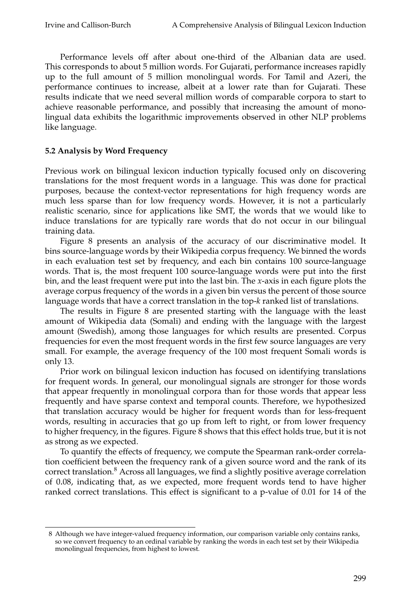Performance levels off after about one-third of the Albanian data are used. This corresponds to about 5 million words. For Gujarati, performance increases rapidly up to the full amount of 5 million monolingual words. For Tamil and Azeri, the performance continues to increase, albeit at a lower rate than for Gujarati. These results indicate that we need several million words of comparable corpora to start to achieve reasonable performance, and possibly that increasing the amount of monolingual data exhibits the logarithmic improvements observed in other NLP problems like language.

# **5.2 Analysis by Word Frequency**

Previous work on bilingual lexicon induction typically focused only on discovering translations for the most frequent words in a language. This was done for practical purposes, because the context-vector representations for high frequency words are much less sparse than for low frequency words. However, it is not a particularly realistic scenario, since for applications like SMT, the words that we would like to induce translations for are typically rare words that do not occur in our bilingual training data.

Figure 8 presents an analysis of the accuracy of our discriminative model. It bins source-language words by their Wikipedia corpus frequency. We binned the words in each evaluation test set by frequency, and each bin contains 100 source-language words. That is, the most frequent 100 source-language words were put into the first bin, and the least frequent were put into the last bin. The *x*-axis in each figure plots the average corpus frequency of the words in a given bin versus the percent of those source language words that have a correct translation in the top-*k* ranked list of translations.

The results in Figure 8 are presented starting with the language with the least amount of Wikipedia data (Somali) and ending with the language with the largest amount (Swedish), among those languages for which results are presented. Corpus frequencies for even the most frequent words in the first few source languages are very small. For example, the average frequency of the 100 most frequent Somali words is only 13.

Prior work on bilingual lexicon induction has focused on identifying translations for frequent words. In general, our monolingual signals are stronger for those words that appear frequently in monolingual corpora than for those words that appear less frequently and have sparse context and temporal counts. Therefore, we hypothesized that translation accuracy would be higher for frequent words than for less-frequent words, resulting in accuracies that go up from left to right, or from lower frequency to higher frequency, in the figures. Figure 8 shows that this effect holds true, but it is not as strong as we expected.

To quantify the effects of frequency, we compute the Spearman rank-order correlation coefficient between the frequency rank of a given source word and the rank of its correct translation.<sup>8</sup> Across all languages, we find a slightly positive average correlation of 0.08, indicating that, as we expected, more frequent words tend to have higher ranked correct translations. This effect is significant to a p-value of 0.01 for 14 of the

<sup>8</sup> Although we have integer-valued frequency information, our comparison variable only contains ranks, so we convert frequency to an ordinal variable by ranking the words in each test set by their Wikipedia monolingual frequencies, from highest to lowest.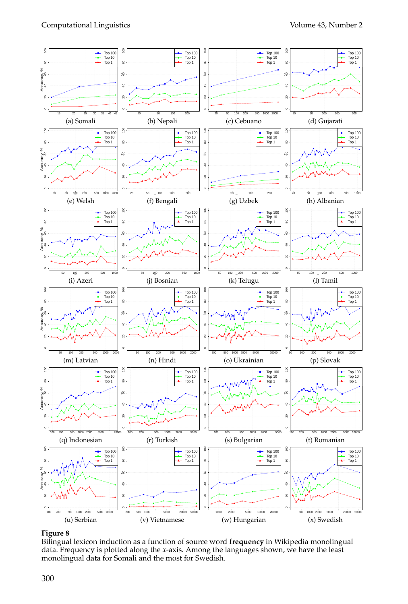

# **Figure 8**

Bilingual lexicon induction as a function of source word **frequency** in Wikipedia monolingual data. Frequency is plotted along the *x*-axis. Among the languages shown, we have the least monolingual data for Somali and the most for Swedish.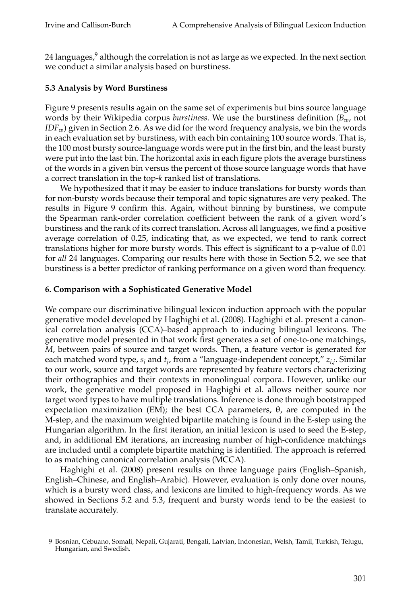24 languages, $^9$  although the correlation is not as large as we expected. In the next section we conduct a similar analysis based on burstiness.

# **5.3 Analysis by Word Burstiness**

Figure 9 presents results again on the same set of experiments but bins source language words by their Wikipedia corpus *burstiness*. We use the burstiness definition (*Bw*, not *IDFw*) given in Section 2.6. As we did for the word frequency analysis, we bin the words in each evaluation set by burstiness, with each bin containing 100 source words. That is, the 100 most bursty source-language words were put in the first bin, and the least bursty were put into the last bin. The horizontal axis in each figure plots the average burstiness of the words in a given bin versus the percent of those source language words that have a correct translation in the top-*k* ranked list of translations.

We hypothesized that it may be easier to induce translations for bursty words than for non-bursty words because their temporal and topic signatures are very peaked. The results in Figure 9 confirm this. Again, without binning by burstiness, we compute the Spearman rank-order correlation coefficient between the rank of a given word's burstiness and the rank of its correct translation. Across all languages, we find a positive average correlation of 0.25, indicating that, as we expected, we tend to rank correct translations higher for more bursty words. This effect is significant to a p-value of 0.01 for *all* 24 languages. Comparing our results here with those in Section 5.2, we see that burstiness is a better predictor of ranking performance on a given word than frequency.

# **6. Comparison with a Sophisticated Generative Model**

We compare our discriminative bilingual lexicon induction approach with the popular generative model developed by Haghighi et al. (2008). Haghighi et al. present a canonical correlation analysis (CCA)–based approach to inducing bilingual lexicons. The generative model presented in that work first generates a set of one-to-one matchings, *M*, between pairs of source and target words. Then, a feature vector is generated for each matched word type, *s<sup>i</sup>* and *t<sup>j</sup>* , from a "language-independent concept," *zi*,*<sup>j</sup>* . Similar to our work, source and target words are represented by feature vectors characterizing their orthographies and their contexts in monolingual corpora. However, unlike our work, the generative model proposed in Haghighi et al. allows neither source nor target word types to have multiple translations. Inference is done through bootstrapped expectation maximization (EM); the best CCA parameters,  $θ$ , are computed in the M-step, and the maximum weighted bipartite matching is found in the E-step using the Hungarian algorithm. In the first iteration, an initial lexicon is used to seed the E-step, and, in additional EM iterations, an increasing number of high-confidence matchings are included until a complete bipartite matching is identified. The approach is referred to as matching canonical correlation analysis (MCCA).

Haghighi et al. (2008) present results on three language pairs (English–Spanish, English–Chinese, and English–Arabic). However, evaluation is only done over nouns, which is a bursty word class, and lexicons are limited to high-frequency words. As we showed in Sections 5.2 and 5.3, frequent and bursty words tend to be the easiest to translate accurately.

<sup>9</sup> Bosnian, Cebuano, Somali, Nepali, Gujarati, Bengali, Latvian, Indonesian, Welsh, Tamil, Turkish, Telugu, Hungarian, and Swedish.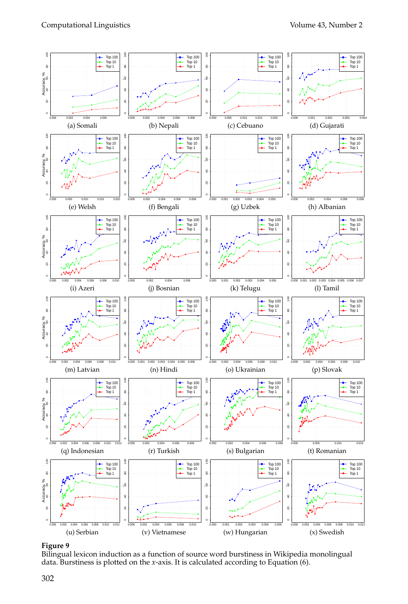

## **Figure 9**

Bilingual lexicon induction as a function of source word burstiness in Wikipedia monolingual data. Burstiness is plotted on the *x*-axis. It is calculated according to Equation (6).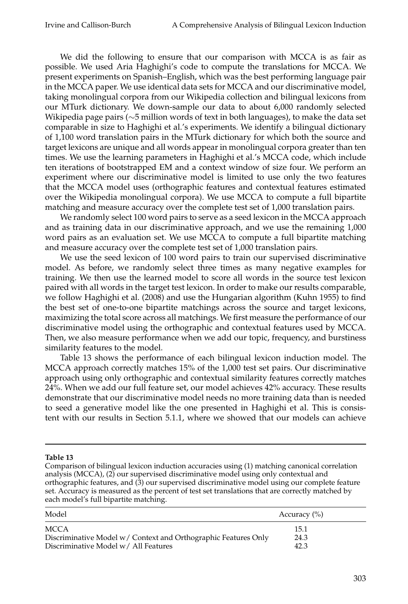We did the following to ensure that our comparison with MCCA is as fair as possible. We used Aria Haghighi's code to compute the translations for MCCA. We present experiments on Spanish–English, which was the best performing language pair in the MCCA paper. We use identical data sets for MCCA and our discriminative model, taking monolingual corpora from our Wikipedia collection and bilingual lexicons from our MTurk dictionary. We down-sample our data to about 6,000 randomly selected Wikipedia page pairs (∼5 million words of text in both languages), to make the data set comparable in size to Haghighi et al.'s experiments. We identify a bilingual dictionary of 1,100 word translation pairs in the MTurk dictionary for which both the source and target lexicons are unique and all words appear in monolingual corpora greater than ten times. We use the learning parameters in Haghighi et al.'s MCCA code, which include ten iterations of bootstrapped EM and a context window of size four. We perform an experiment where our discriminative model is limited to use only the two features that the MCCA model uses (orthographic features and contextual features estimated over the Wikipedia monolingual corpora). We use MCCA to compute a full bipartite matching and measure accuracy over the complete test set of 1,000 translation pairs.

We randomly select 100 word pairs to serve as a seed lexicon in the MCCA approach and as training data in our discriminative approach, and we use the remaining 1,000 word pairs as an evaluation set. We use MCCA to compute a full bipartite matching and measure accuracy over the complete test set of 1,000 translation pairs.

We use the seed lexicon of 100 word pairs to train our supervised discriminative model. As before, we randomly select three times as many negative examples for training. We then use the learned model to score all words in the source test lexicon paired with all words in the target test lexicon. In order to make our results comparable, we follow Haghighi et al. (2008) and use the Hungarian algorithm (Kuhn 1955) to find the best set of one-to-one bipartite matchings across the source and target lexicons, maximizing the total score across all matchings. We first measure the performance of our discriminative model using the orthographic and contextual features used by MCCA. Then, we also measure performance when we add our topic, frequency, and burstiness similarity features to the model.

Table 13 shows the performance of each bilingual lexicon induction model. The MCCA approach correctly matches 15% of the 1,000 test set pairs. Our discriminative approach using only orthographic and contextual similarity features correctly matches 24%. When we add our full feature set, our model achieves 42% accuracy. These results demonstrate that our discriminative model needs no more training data than is needed to seed a generative model like the one presented in Haghighi et al. This is consistent with our results in Section 5.1.1, where we showed that our models can achieve

**Table 13**

Comparison of bilingual lexicon induction accuracies using (1) matching canonical correlation analysis (MCCA), (2) our supervised discriminative model using only contextual and orthographic features, and (3) our supervised discriminative model using our complete feature set. Accuracy is measured as the percent of test set translations that are correctly matched by each model's full bipartite matching.

| Model                                                          | Accuracy $(\% )$ |
|----------------------------------------------------------------|------------------|
| <b>MCCA</b>                                                    | -15.1            |
| Discriminative Model w/ Context and Orthographic Features Only | 24.3             |
| Discriminative Model w/ All Features                           | 42.3             |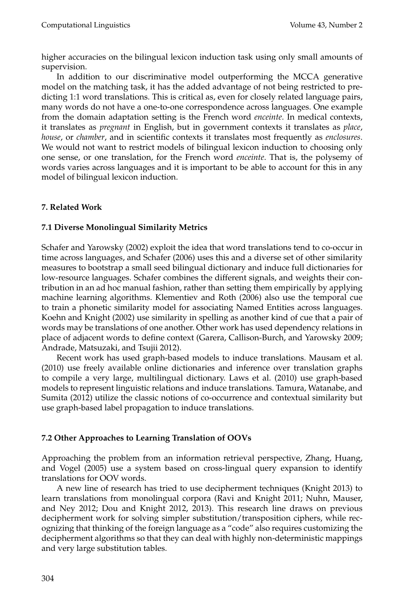higher accuracies on the bilingual lexicon induction task using only small amounts of supervision.

In addition to our discriminative model outperforming the MCCA generative model on the matching task, it has the added advantage of not being restricted to predicting 1:1 word translations. This is critical as, even for closely related language pairs, many words do not have a one-to-one correspondence across languages. One example from the domain adaptation setting is the French word *enceinte*. In medical contexts, it translates as *pregnant* in English, but in government contexts it translates as *place*, *house*, or *chamber*, and in scientific contexts it translates most frequently as *enclosures*. We would not want to restrict models of bilingual lexicon induction to choosing only one sense, or one translation, for the French word *enceinte*. That is, the polysemy of words varies across languages and it is important to be able to account for this in any model of bilingual lexicon induction.

# **7. Related Work**

# **7.1 Diverse Monolingual Similarity Metrics**

Schafer and Yarowsky (2002) exploit the idea that word translations tend to co-occur in time across languages, and Schafer (2006) uses this and a diverse set of other similarity measures to bootstrap a small seed bilingual dictionary and induce full dictionaries for low-resource languages. Schafer combines the different signals, and weights their contribution in an ad hoc manual fashion, rather than setting them empirically by applying machine learning algorithms. Klementiev and Roth (2006) also use the temporal cue to train a phonetic similarity model for associating Named Entities across languages. Koehn and Knight (2002) use similarity in spelling as another kind of cue that a pair of words may be translations of one another. Other work has used dependency relations in place of adjacent words to define context (Garera, Callison-Burch, and Yarowsky 2009; Andrade, Matsuzaki, and Tsujii 2012).

Recent work has used graph-based models to induce translations. Mausam et al. (2010) use freely available online dictionaries and inference over translation graphs to compile a very large, multilingual dictionary. Laws et al. (2010) use graph-based models to represent linguistic relations and induce translations. Tamura, Watanabe, and Sumita (2012) utilize the classic notions of co-occurrence and contextual similarity but use graph-based label propagation to induce translations.

# **7.2 Other Approaches to Learning Translation of OOVs**

Approaching the problem from an information retrieval perspective, Zhang, Huang, and Vogel (2005) use a system based on cross-lingual query expansion to identify translations for OOV words.

A new line of research has tried to use decipherment techniques (Knight 2013) to learn translations from monolingual corpora (Ravi and Knight 2011; Nuhn, Mauser, and Ney 2012; Dou and Knight 2012, 2013). This research line draws on previous decipherment work for solving simpler substitution/transposition ciphers, while recognizing that thinking of the foreign language as a "code" also requires customizing the decipherment algorithms so that they can deal with highly non-deterministic mappings and very large substitution tables.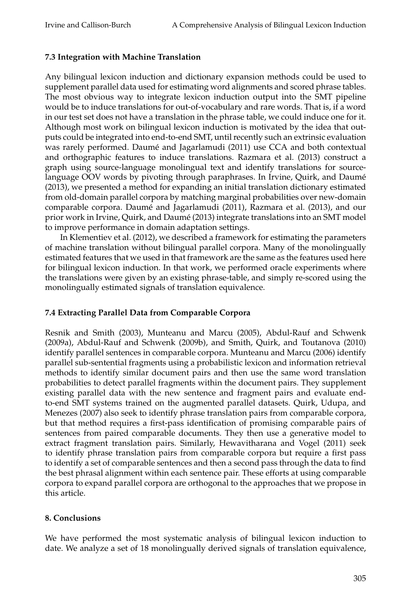# **7.3 Integration with Machine Translation**

Any bilingual lexicon induction and dictionary expansion methods could be used to supplement parallel data used for estimating word alignments and scored phrase tables. The most obvious way to integrate lexicon induction output into the SMT pipeline would be to induce translations for out-of-vocabulary and rare words. That is, if a word in our test set does not have a translation in the phrase table, we could induce one for it. Although most work on bilingual lexicon induction is motivated by the idea that outputs could be integrated into end-to-end SMT, until recently such an extrinsic evaluation was rarely performed. Daumé and Jagarlamudi (2011) use CCA and both contextual and orthographic features to induce translations. Razmara et al. (2013) construct a graph using source-language monolingual text and identify translations for sourcelanguage OOV words by pivoting through paraphrases. In Irvine, Quirk, and Daumé (2013), we presented a method for expanding an initial translation dictionary estimated from old-domain parallel corpora by matching marginal probabilities over new-domain comparable corpora. Daumé and Jagarlamudi (2011), Razmara et al. (2013), and our prior work in Irvine, Quirk, and Daumé (2013) integrate translations into an SMT model to improve performance in domain adaptation settings.

In Klementiev et al. (2012), we described a framework for estimating the parameters of machine translation without bilingual parallel corpora. Many of the monolingually estimated features that we used in that framework are the same as the features used here for bilingual lexicon induction. In that work, we performed oracle experiments where the translations were given by an existing phrase-table, and simply re-scored using the monolingually estimated signals of translation equivalence.

# **7.4 Extracting Parallel Data from Comparable Corpora**

Resnik and Smith (2003), Munteanu and Marcu (2005), Abdul-Rauf and Schwenk (2009a), Abdul-Rauf and Schwenk (2009b), and Smith, Quirk, and Toutanova (2010) identify parallel sentences in comparable corpora. Munteanu and Marcu (2006) identify parallel sub-sentential fragments using a probabilistic lexicon and information retrieval methods to identify similar document pairs and then use the same word translation probabilities to detect parallel fragments within the document pairs. They supplement existing parallel data with the new sentence and fragment pairs and evaluate endto-end SMT systems trained on the augmented parallel datasets. Quirk, Udupa, and Menezes (2007) also seek to identify phrase translation pairs from comparable corpora, but that method requires a first-pass identification of promising comparable pairs of sentences from paired comparable documents. They then use a generative model to extract fragment translation pairs. Similarly, Hewavitharana and Vogel (2011) seek to identify phrase translation pairs from comparable corpora but require a first pass to identify a set of comparable sentences and then a second pass through the data to find the best phrasal alignment within each sentence pair. These efforts at using comparable corpora to expand parallel corpora are orthogonal to the approaches that we propose in this article.

# **8. Conclusions**

We have performed the most systematic analysis of bilingual lexicon induction to date. We analyze a set of 18 monolingually derived signals of translation equivalence,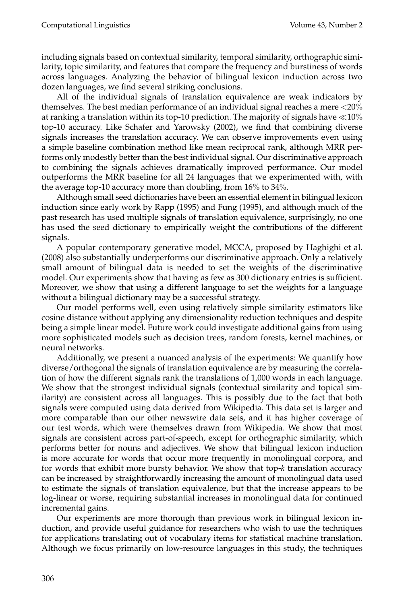including signals based on contextual similarity, temporal similarity, orthographic similarity, topic similarity, and features that compare the frequency and burstiness of words across languages. Analyzing the behavior of bilingual lexicon induction across two dozen languages, we find several striking conclusions.

All of the individual signals of translation equivalence are weak indicators by themselves. The best median performance of an individual signal reaches a mere <20% at ranking a translation within its top-10 prediction. The majority of signals have  $\ll$ 10% top-10 accuracy. Like Schafer and Yarowsky (2002), we find that combining diverse signals increases the translation accuracy. We can observe improvements even using a simple baseline combination method like mean reciprocal rank, although MRR performs only modestly better than the best individual signal. Our discriminative approach to combining the signals achieves dramatically improved performance. Our model outperforms the MRR baseline for all 24 languages that we experimented with, with the average top-10 accuracy more than doubling, from 16% to 34%.

Although small seed dictionaries have been an essential element in bilingual lexicon induction since early work by Rapp (1995) and Fung (1995), and although much of the past research has used multiple signals of translation equivalence, surprisingly, no one has used the seed dictionary to empirically weight the contributions of the different signals.

A popular contemporary generative model, MCCA, proposed by Haghighi et al. (2008) also substantially underperforms our discriminative approach. Only a relatively small amount of bilingual data is needed to set the weights of the discriminative model. Our experiments show that having as few as 300 dictionary entries is sufficient. Moreover, we show that using a different language to set the weights for a language without a bilingual dictionary may be a successful strategy.

Our model performs well, even using relatively simple similarity estimators like cosine distance without applying any dimensionality reduction techniques and despite being a simple linear model. Future work could investigate additional gains from using more sophisticated models such as decision trees, random forests, kernel machines, or neural networks.

Additionally, we present a nuanced analysis of the experiments: We quantify how diverse/orthogonal the signals of translation equivalence are by measuring the correlation of how the different signals rank the translations of 1,000 words in each language. We show that the strongest individual signals (contextual similarity and topical similarity) are consistent across all languages. This is possibly due to the fact that both signals were computed using data derived from Wikipedia. This data set is larger and more comparable than our other newswire data sets, and it has higher coverage of our test words, which were themselves drawn from Wikipedia. We show that most signals are consistent across part-of-speech, except for orthographic similarity, which performs better for nouns and adjectives. We show that bilingual lexicon induction is more accurate for words that occur more frequently in monolingual corpora, and for words that exhibit more bursty behavior. We show that top-*k* translation accuracy can be increased by straightforwardly increasing the amount of monolingual data used to estimate the signals of translation equivalence, but that the increase appears to be log-linear or worse, requiring substantial increases in monolingual data for continued incremental gains.

Our experiments are more thorough than previous work in bilingual lexicon induction, and provide useful guidance for researchers who wish to use the techniques for applications translating out of vocabulary items for statistical machine translation. Although we focus primarily on low-resource languages in this study, the techniques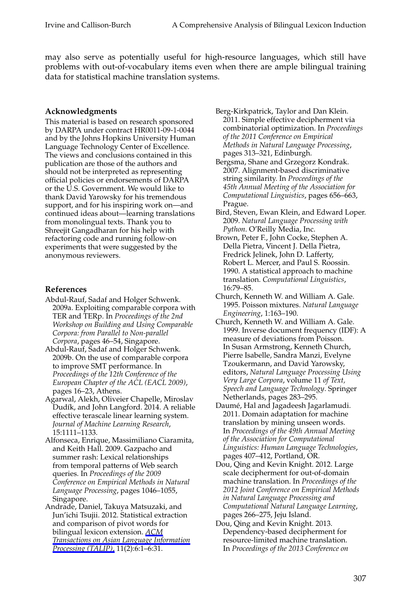may also serve as potentially useful for high-resource languages, which still have problems with out-of-vocabulary items even when there are ample bilingual training data for statistical machine translation systems.

## **Acknowledgments**

This material is based on research sponsored by DARPA under contract HR0011-09-1-0044 and by the Johns Hopkins University Human Language Technology Center of Excellence. The views and conclusions contained in this publication are those of the authors and should not be interpreted as representing official policies or endorsements of DARPA or the U.S. Government. We would like to thank David Yarowsky for his tremendous support, and for his inspiring work on—and continued ideas about—learning translations from monolingual texts. Thank you to Shreejit Gangadharan for his help with refactoring code and running follow-on experiments that were suggested by the anonymous reviewers.

# **References**

- Abdul-Rauf, Sadaf and Holger Schwenk. 2009a. Exploiting comparable corpora with TER and TERp. In *Proceedings of the 2nd Workshop on Building and Using Comparable Corpora: from Parallel to Non-parallel Corpora*, pages 46–54, Singapore.
- Abdul-Rauf, Sadaf and Holger Schwenk. 2009b. On the use of comparable corpora to improve SMT performance. In *Proceedings of the 12th Conference of the European Chapter of the ACL (EACL 2009)*, pages 16–23, Athens.
- Agarwal, Alekh, Oliveier Chapelle, Miroslav Dudík, and John Langford. 2014. A reliable effective terascale linear learning system. *Journal of Machine Learning Research*, 15:1111–1133.
- Alfonseca, Enrique, Massimiliano Ciaramita, and Keith Hall. 2009. Gazpacho and summer rash: Lexical relationships from temporal patterns of Web search queries. In *Proceedings of the 2009 Conference on Empirical Methods in Natural Language Processing*, pages 1046–1055, Singapore.

Andrade, Daniel, Takuya Matsuzaki, and Jun'ichi Tsujii. 2012. Statistical extraction and comparison of pivot words for bilingual lexicon extension. *[ACM](http://www.mitpressjournals.org/action/showLinks?doi=10.1162%2FCOLI_a_00284&crossref=10.1145%2F2184436.2184439&citationId=p_5) [Transactions on Asian Language Information](http://www.mitpressjournals.org/action/showLinks?doi=10.1162%2FCOLI_a_00284&crossref=10.1145%2F2184436.2184439&citationId=p_5) [Processing \(TALIP\)](http://www.mitpressjournals.org/action/showLinks?doi=10.1162%2FCOLI_a_00284&crossref=10.1145%2F2184436.2184439&citationId=p_5)*, 11(2):6:1–6:31.

- Berg-Kirkpatrick, Taylor and Dan Klein. 2011. Simple effective decipherment via combinatorial optimization. In *Proceedings of the 2011 Conference on Empirical Methods in Natural Language Processing*, pages 313–321, Edinburgh.
- Bergsma, Shane and Grzegorz Kondrak. 2007. Alignment-based discriminative string similarity. In *Proceedings of the 45th Annual Meeting of the Association for Computational Linguistics*, pages 656–663, Prague.
- Bird, Steven, Ewan Klein, and Edward Loper. 2009. *Natural Language Processing with Python*. O'Reilly Media, Inc.
- Brown, Peter F., John Cocke, Stephen A. Della Pietra, Vincent J. Della Pietra, Fredrick Jelinek, John D. Lafferty, Robert L. Mercer, and Paul S. Roossin. 1990. A statistical approach to machine translation. *Computational Linguistics*, 16:79–85.
- Church, Kenneth W. and William A. Gale. 1995. Poisson mixtures. *Natural Language Engineering*, 1:163–190.
- Church, Kenneth W. and William A. Gale. 1999. Inverse document frequency (IDF): A measure of deviations from Poisson. In Susan Armstrong, Kenneth Church, Pierre Isabelle, Sandra Manzi, Evelyne Tzoukermann, and David Yarowsky, editors, *Natural Language Processing Using Very Large Corpora*, volume 11 *of Text, Speech and Language Technology*. Springer Netherlands, pages 283–295.
- Daumé, Hal and Jagadeesh Jagarlamudi. 2011. Domain adaptation for machine translation by mining unseen words. In *Proceedings of the 49th Annual Meeting of the Association for Computational Linguistics: Human Language Technologies*, pages 407–412, Portland, OR.
- Dou, Qing and Kevin Knight. 2012. Large scale decipherment for out-of-domain machine translation. In *Proceedings of the 2012 Joint Conference on Empirical Methods in Natural Language Processing and Computational Natural Language Learning*, pages 266–275, Jeju Island.
- Dou, Qing and Kevin Knight. 2013. Dependency-based decipherment for resource-limited machine translation. In *Proceedings of the 2013 Conference on*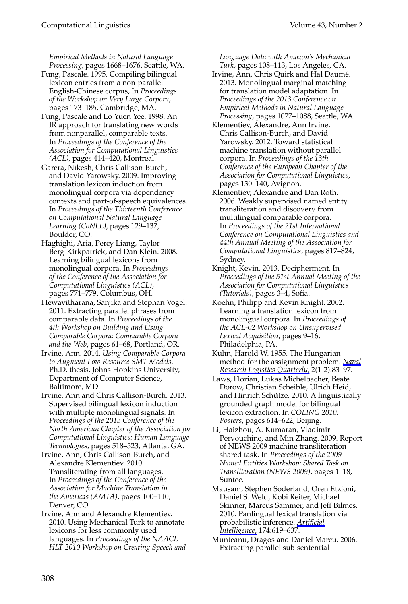*Empirical Methods in Natural Language Processing*, pages 1668–1676, Seattle, WA.

- Fung, Pascale. 1995. Compiling bilingual lexicon entries from a non-parallel English-Chinese corpus, In *Proceedings of the Workshop on Very Large Corpora*, pages 173–185, Cambridge, MA.
- Fung, Pascale and Lo Yuen Yee. 1998. An IR approach for translating new words from nonparallel, comparable texts. In *Proceedings of the Conference of the Association for Computational Linguistics (ACL)*, pages 414–420, Montreal.
- Garera, Nikesh, Chris Callison-Burch, and David Yarowsky. 2009. Improving translation lexicon induction from monolingual corpora via dependency contexts and part-of-speech equivalences. In *Proceedings of the Thirteenth Conference on Computational Natural Language Learning (CoNLL)*, pages 129–137, Boulder, CO.
- Haghighi, Aria, Percy Liang, Taylor Berg-Kirkpatrick, and Dan Klein. 2008. Learning bilingual lexicons from monolingual corpora. In *Proceedings of the Conference of the Association for Computational Linguistics (ACL)*, pages 771–779, Columbus, OH.
- Hewavitharana, Sanjika and Stephan Vogel. 2011. Extracting parallel phrases from comparable data. In *Proceedings of the 4th Workshop on Building and Using Comparable Corpora: Comparable Corpora and the Web*, pages 61–68, Portland, OR.
- Irvine, Ann. 2014. *Using Comparable Corpora to Augment Low Resource SMT Models*. Ph.D. thesis, Johns Hopkins University, Department of Computer Science, Baltimore, MD.
- Irvine, Ann and Chris Callison-Burch. 2013. Supervised bilingual lexicon induction with multiple monolingual signals. In *Proceedings of the 2013 Conference of the North American Chapter of the Association for Computational Linguistics: Human Language Technologies*, pages 518–523, Atlanta, GA.
- Irvine, Ann, Chris Callison-Burch, and Alexandre Klementiev. 2010. Transliterating from all languages. In *Proceedings of the Conference of the Association for Machine Translation in the Americas (AMTA)*, pages 100–110, Denver, CO.
- Irvine, Ann and Alexandre Klementiev. 2010. Using Mechanical Turk to annotate lexicons for less commonly used languages. In *Proceedings of the NAACL HLT 2010 Workshop on Creating Speech and*

*Language Data with Amazon's Mechanical Turk*, pages 108–113, Los Angeles, CA.

- Irvine, Ann, Chris Quirk and Hal Daumé. 2013. Monolingual marginal matching for translation model adaptation. In *Proceedings of the 2013 Conference on Empirical Methods in Natural Language Processing*, pages 1077–1088, Seattle, WA.
- Klementiev, Alexandre, Ann Irvine, Chris Callison-Burch, and David Yarowsky. 2012. Toward statistical machine translation without parallel corpora. In *Proceedings of the 13th Conference of the European Chapter of the Association for Computational Linguistics*, pages 130–140, Avignon.
- Klementiev, Alexandre and Dan Roth. 2006. Weakly supervised named entity transliteration and discovery from multilingual comparable corpora. In *Proceedings of the 21st International Conference on Computational Linguistics and 44th Annual Meeting of the Association for Computational Linguistics*, pages 817–824, Sydney.
- Knight, Kevin. 2013. Decipherment. In *Proceedings of the 51st Annual Meeting of the Association for Computational Linguistics (Tutorials)*, pages 3–4, Sofia.
- Koehn, Philipp and Kevin Knight. 2002. Learning a translation lexicon from monolingual corpora. In *Proceedings of the ACL-02 Workshop on Unsupervised Lexical Acquisition*, pages 9–16, Philadelphia, PA.
- Kuhn, Harold W. 1955. The Hungarian method for the assignment problem. *[Naval](http://www.mitpressjournals.org/action/showLinks?doi=10.1162%2FCOLI_a_00284&crossref=10.1002%2Fnav.3800020109&citationId=p_29) [Research Logistics Quarterly](http://www.mitpressjournals.org/action/showLinks?doi=10.1162%2FCOLI_a_00284&crossref=10.1002%2Fnav.3800020109&citationId=p_29)*, 2(1-2):83–97.
- Laws, Florian, Lukas Michelbacher, Beate Dorow, Christian Scheible, Ulrich Heid, and Hinrich Schütze. 2010. A linguistically grounded graph model for bilingual lexicon extraction. In *COLING 2010: Posters*, pages 614–622, Beijing.
- Li, Haizhou, A. Kumaran, Vladimir Pervouchine, and Min Zhang. 2009. Report of NEWS 2009 machine transliteration shared task. In *Proceedings of the 2009 Named Entities Workshop: Shared Task on Transliteration (NEWS 2009)*, pages 1–18, Suntec.
- Mausam, Stephen Soderland, Oren Etzioni, Daniel S. Weld, Kobi Reiter, Michael Skinner, Marcus Sammer, and Jeff Bilmes. 2010. Panlingual lexical translation via probabilistic inference. *[Artificial](http://www.mitpressjournals.org/action/showLinks?doi=10.1162%2FCOLI_a_00284&crossref=10.1016%2Fj.artint.2010.04.020&citationId=p_32) [Intelligence](http://www.mitpressjournals.org/action/showLinks?doi=10.1162%2FCOLI_a_00284&crossref=10.1016%2Fj.artint.2010.04.020&citationId=p_32)*, 174:619–637.
- Munteanu, Dragos and Daniel Marcu. 2006. Extracting parallel sub-sentential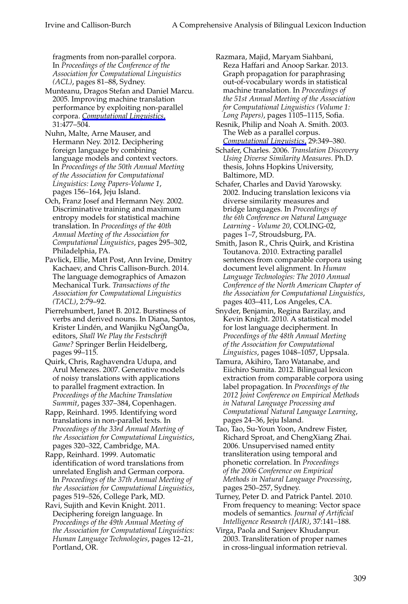fragments from non-parallel corpora. In *Proceedings of the Conference of the Association for Computational Linguistics (ACL)*, pages 81–88, Sydney.

- Munteanu, Dragos Stefan and Daniel Marcu. 2005. Improving machine translation performance by exploiting non-parallel corpora. *[Computational Linguistics](http://www.mitpressjournals.org/action/showLinks?doi=10.1162%2FCOLI_a_00284&system=10.1162%2F089120105775299168&citationId=p_34)*, 31:477–504.
- Nuhn, Malte, Arne Mauser, and Hermann Ney. 2012. Deciphering foreign language by combining language models and context vectors. In *Proceedings of the 50th Annual Meeting of the Association for Computational Linguistics: Long Papers-Volume 1*, pages 156–164, Jeju Island.
- Och, Franz Josef and Hermann Ney. 2002. Discriminative training and maximum entropy models for statistical machine translation. In *Proceedings of the 40th Annual Meeting of the Association for Computational Linguistics*, pages 295–302, Philadelphia, PA.
- Pavlick, Ellie, Matt Post, Ann Irvine, Dmitry Kachaev, and Chris Callison-Burch. 2014. The language demographics of Amazon Mechanical Turk. *Transactions of the Association for Computational Linguistics (TACL)*, 2:79–92.
- Pierrehumbert, Janet B. 2012. Burstiness of verbs and derived nouns. In Diana, Santos, Krister Lindén, and Wanjiku NgÕangÕa, editors, *Shall We Play the Festschrift Game?* Springer Berlin Heidelberg, pages 99–115.
- Quirk, Chris, Raghavendra Udupa, and Arul Menezes. 2007. Generative models of noisy translations with applications to parallel fragment extraction. In *Proceedings of the Machine Translation Summit*, pages 337–384, Copenhagen.
- Rapp, Reinhard. 1995. Identifying word translations in non-parallel texts. In *Proceedings of the 33rd Annual Meeting of the Association for Computational Linguistics*, pages 320–322, Cambridge, MA.
- Rapp, Reinhard. 1999. Automatic identification of word translations from unrelated English and German corpora. In *Proceedings of the 37th Annual Meeting of the Association for Computational Linguistics*, pages 519–526, College Park, MD.
- Ravi, Sujith and Kevin Knight. 2011. Deciphering foreign language. In *Proceedings of the 49th Annual Meeting of the Association for Computational Linguistics: Human Language Technologies*, pages 12–21, Portland, OR.
- Razmara, Majid, Maryam Siahbani, Reza Haffari and Anoop Sarkar. 2013. Graph propagation for paraphrasing out-of-vocabulary words in statistical machine translation. In *Proceedings of the 51st Annual Meeting of the Association for Computational Linguistics (Volume 1: Long Papers)*, pages 1105–1115, Sofia.
- Resnik, Philip and Noah A. Smith. 2003. The Web as a parallel corpus. *[Computational Linguistics](http://www.mitpressjournals.org/action/showLinks?doi=10.1162%2FCOLI_a_00284&system=10.1162%2F089120103322711578&citationId=p_44)*, 29:349–380.
- Schafer, Charles. 2006. *Translation Discovery Using Diverse Similarity Measures*. Ph.D. thesis, Johns Hopkins University, Baltimore, MD.
- Schafer, Charles and David Yarowsky. 2002. Inducing translation lexicons via diverse similarity measures and bridge languages. In *Proceedings of the 6th Conference on Natural Language Learning - Volume 20*, COLING-02, pages 1–7, Stroudsburg, PA.
- Smith, Jason R., Chris Quirk, and Kristina Toutanova. 2010. Extracting parallel sentences from comparable corpora using document level alignment. In *Human Language Technologies: The 2010 Annual Conference of the North American Chapter of the Association for Computational Linguistics*, pages 403–411, Los Angeles, CA.
- Snyder, Benjamin, Regina Barzilay, and Kevin Knight. 2010. A statistical model for lost language decipherment. In *Proceedings of the 48th Annual Meeting of the Association for Computational Linguistics*, pages 1048–1057, Uppsala.
- Tamura, Akihiro, Taro Watanabe, and Eiichiro Sumita. 2012. Bilingual lexicon extraction from comparable corpora using label propagation. In *Proceedings of the 2012 Joint Conference on Empirical Methods in Natural Language Processing and Computational Natural Language Learning*, pages 24–36, Jeju Island.
- Tao, Tao, Su-Youn Yoon, Andrew Fister, Richard Sproat, and ChengXiang Zhai. 2006. Unsupervised named entity transliteration using temporal and phonetic correlation. In *Proceedings of the 2006 Conference on Empirical Methods in Natural Language Processing*, pages 250–257, Sydney.
- Turney, Peter D. and Patrick Pantel. 2010. From frequency to meaning: Vector space models of semantics. *Journal of Artificial Intelligence Research (JAIR)*, 37:141–188.
- Virga, Paola and Sanjeev Khudanpur. 2003. Transliteration of proper names in cross-lingual information retrieval.